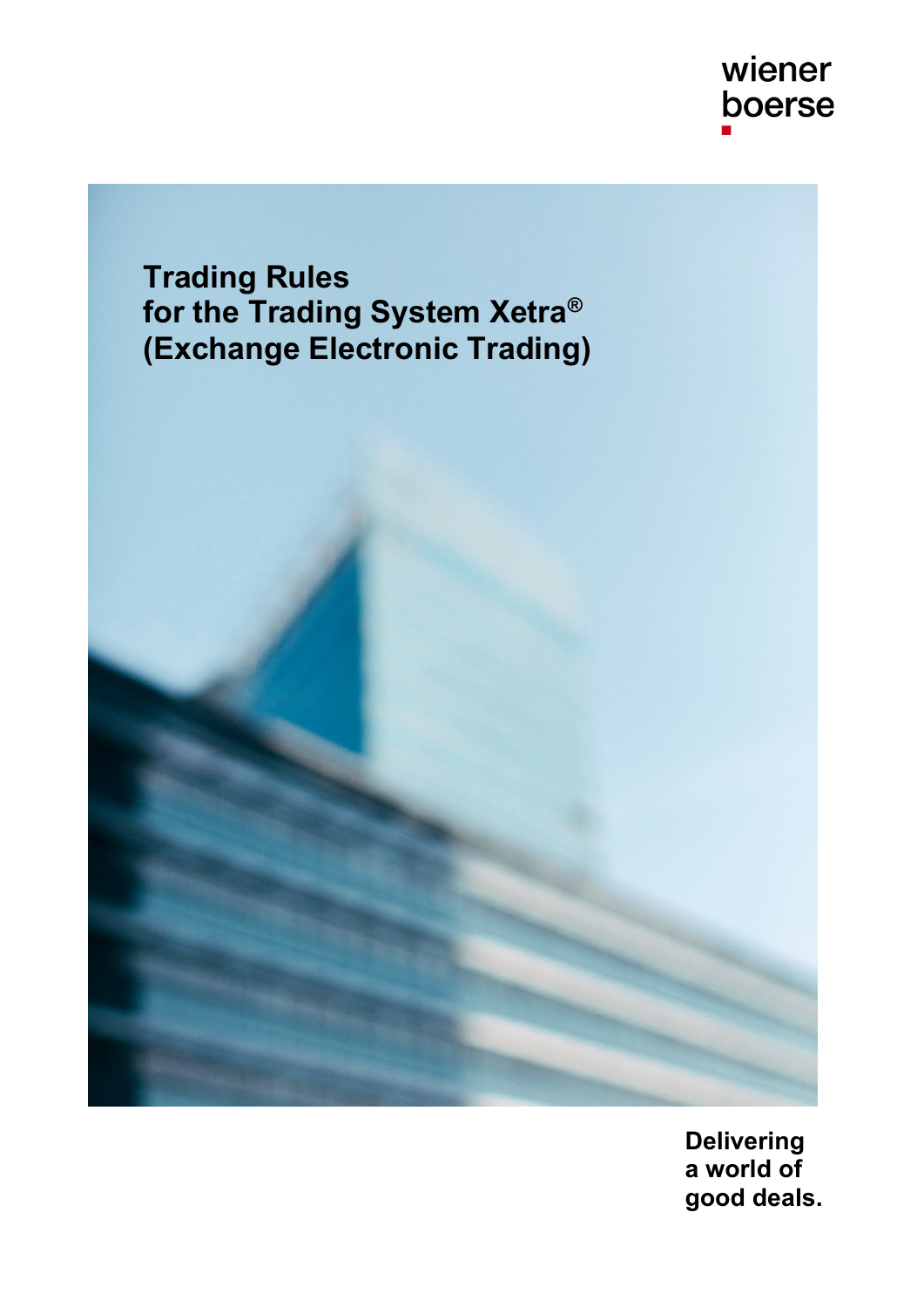wiener boerse

**Trading Rules for the Trading System Xetra® (Exchange Electronic Trading)**

> **Delivering a world of good deals.**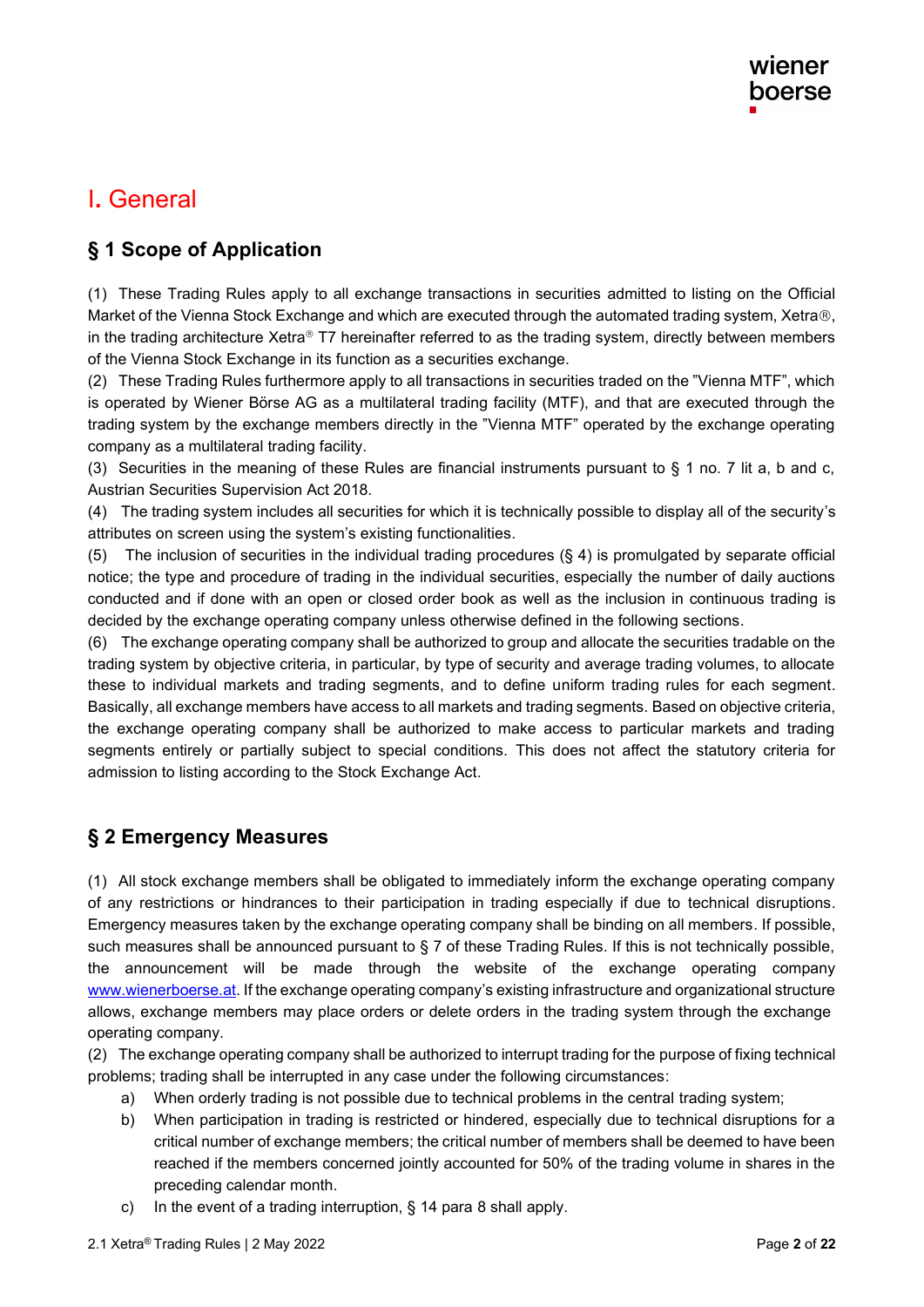# I**.** General

### **§ 1 Scope of Application**

(1) These Trading Rules apply to all exchange transactions in securities admitted to listing on the Official Market of the Vienna Stock Exchange and which are executed through the automated trading system, Xetra®, in the trading architecture Xetra<sup>®</sup> T7 hereinafter referred to as the trading system, directly between members of the Vienna Stock Exchange in its function as a securities exchange.

(2) These Trading Rules furthermore apply to all transactions in securities traded on the "Vienna MTF", which is operated by Wiener Börse AG as a multilateral trading facility (MTF), and that are executed through the trading system by the exchange members directly in the "Vienna MTF" operated by the exchange operating company as a multilateral trading facility.

(3) Securities in the meaning of these Rules are financial instruments pursuant to  $\S$  1 no. 7 lit a, b and c, Austrian Securities Supervision Act 2018.

(4) The trading system includes all securities for which it is technically possible to display all of the security's attributes on screen using the system's existing functionalities .

(5) The inclusion of securities in the individual trading procedures (§ 4) is promulgated by separate official notice; the type and procedure of trading in the individual securities, especially the number of daily auctions conducted and if done with an open or closed order book as well as the inclusion in continuous trading is decided by the exchange operating company unless otherwise defined in the following sections.

(6) The exchange operating company shall be authorized to group and allocate the securities tradable on the trading system by objective criteria, in particular, by type of security and average trading volumes, to allocate these to individual markets and trading segments, and to define uniform trading rules for each segment. Basically, all exchange members have access to all markets and trading segments. Based on objective criteria, the exchange operating company shall be authorized to make access to particular markets and trading segments entirely or partially subject to special conditions. This does not affect the statutory criteria for admission to listing according to the Stock Exchange Act.

### **§ 2 Emergency Measures**

(1) All stock exchange members shall be obligated to immediately inform the exchange operating company of any restrictions or hindrances to their participation in trading especially if due to technical disruptions . Emergency measures taken by the exchange operating company shall be binding on all members. If possible, such measures shall be announced pursuant to § 7 of these Trading Rules. If this is not technically possible, the announcement will be made through the website of the exchange operating company [www.wienerboerse.at.](http://www.wienerboerse.at/) If the exchange operating company's existing infrastructure and organizational structure allows, exchange members may place orders or delete orders in the trading system through the exchange operating company.

(2) The exchange operating company shall be authorized to interrupt trading for the purpose of fixing technical problems; trading shall be interrupted in any case under the following circumstances:

- a) When orderly trading is not possible due to technical problems in the central trading system;
- b) When participation in trading is restricted or hindered, especially due to technical disruptions for a critical number of exchange members; the critical number of members shall be deemed to have been reached if the members concerned jointly accounted for 50% of the trading volume in shares in the preceding calendar month.
- c) In the event of a trading interruption, § 14 para 8 shall apply.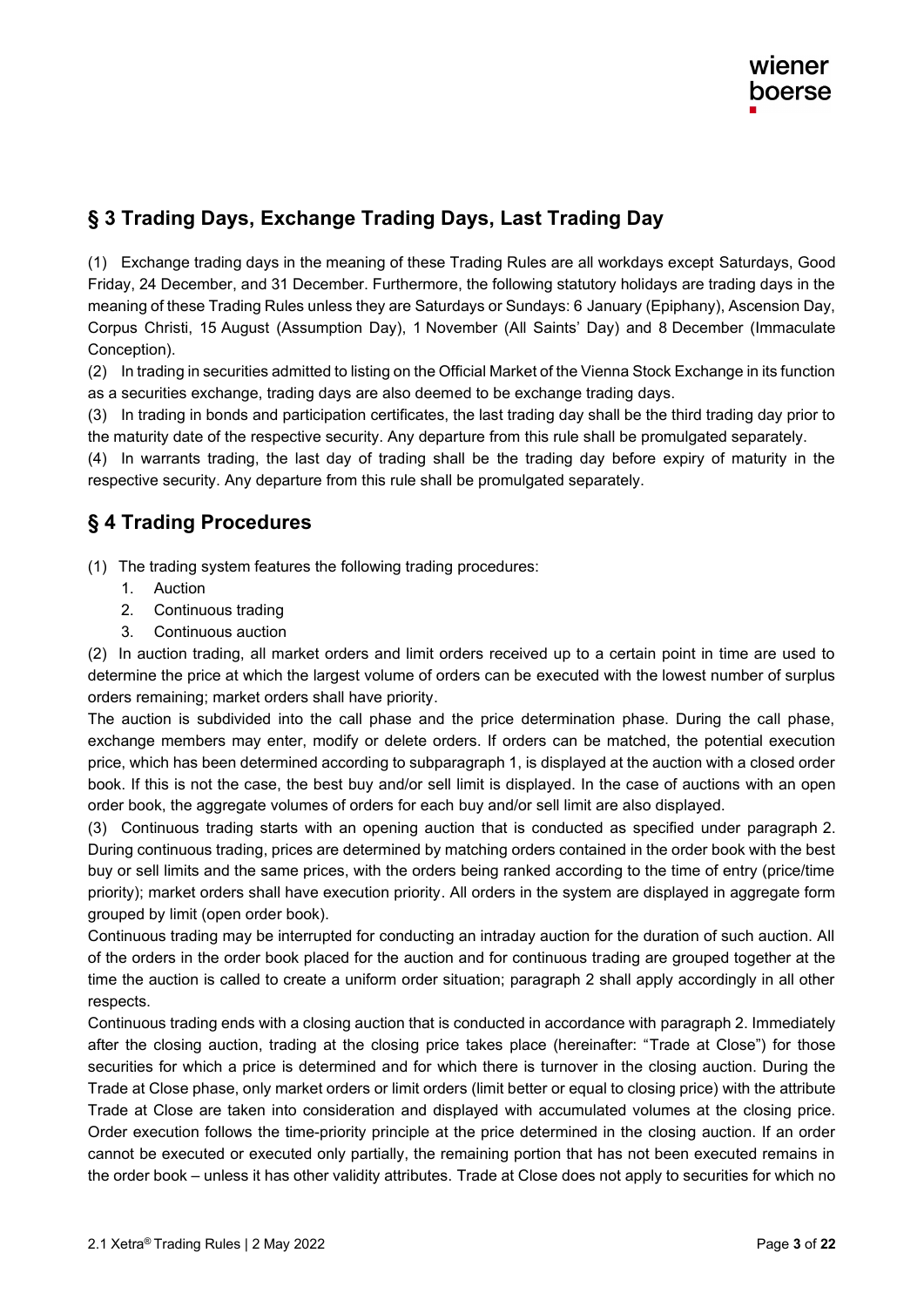## **§ 3 Trading Days, Exchange Trading Days, Last Trading Day**

(1) Exchange trading days in the meaning of these Trading Rules are all workdays except Saturdays, Good Friday, 24 December, and 31 December. Furthermore, the following statutory holidays are trading days in the meaning of these Trading Rules unless they are Saturdays or Sundays: 6 January (Epiphany), Ascension Day, Corpus Christi, 15 August (Assumption Day), 1 November (All Saints' Day) and 8 December (Immaculate Conception).

(2) In trading in securities admitted to listing on the Official Market of the Vienna Stock Exchange in its function as a securities exchange, trading days are also deemed to be exchange trading days.

(3) In trading in bonds and participation certificates, the last trading day shall be the third trading day prior to the maturity date of the respective security. Any departure from this rule shall be promulgated separately.

(4) In warrants trading, the last day of trading shall be the trading day before expiry of maturity in the respective security. Any departure from this rule shall be promulgated separately.

### **§ 4 Trading Procedures**

(1) The trading system features the following trading procedures:

- 1. Auction
- 2. Continuous trading
- 3. Continuous auction

(2) In auction trading, all market orders and limit orders received up to a certain point in time are used to determine the price at which the largest volume of orders can be executed with the lowest number of surplus orders remaining; market orders shall have priority .

The auction is subdivided into the call phase and the price determination phase. During the call phase, exchange members may enter, modify or delete orders. If orders can be matched, the potential execution price, which has been determined according to subparagraph 1, is displayed at the auction with a closed order book. If this is not the case, the best buy and/or sell limit is displayed. In the case of auctions with an open order book, the aggregate volumes of orders for each buy and/or sell limit are also displayed.

(3) Continuous trading starts with an opening auction that is conducted as specified under paragraph 2. During continuous trading, prices are determined by matching orders contained in the order book with the best buy or sell limits and the same prices, with the orders being ranked according to the time of entry (price/time priority); market orders shall have execution priority . All orders in the system are displayed in aggregate form grouped by limit (open order book).

Continuous trading may be interrupted for conducting an intraday auction for the duration of such auction. All of the orders in the order book placed for the auction and for continuous trading are grouped together at the time the auction is called to create a uniform order situation; paragraph 2 shall apply accordingly in all other respects.

Continuous trading ends with a closing auction that is conducted in accordance with paragraph 2. Immediately after the closing auction, trading at the closing price takes place (hereinafter: "Trade at Close") for those securities for which a price is determined and for which there is turnover in the closing auction. During the Trade at Close phase, only market orders or limit orders (limit better or equal to closing price) with the attribute Trade at Close are taken into consideration and displayed with accumulated volumes at the closing price. Order execution follows the time-priority principle at the price determined in the closing auction. If an order cannot be executed or executed only partially, the remaining portion that has not been executed remains in the order book – unless it has other validity attributes. Trade at Close does not apply to securities for which no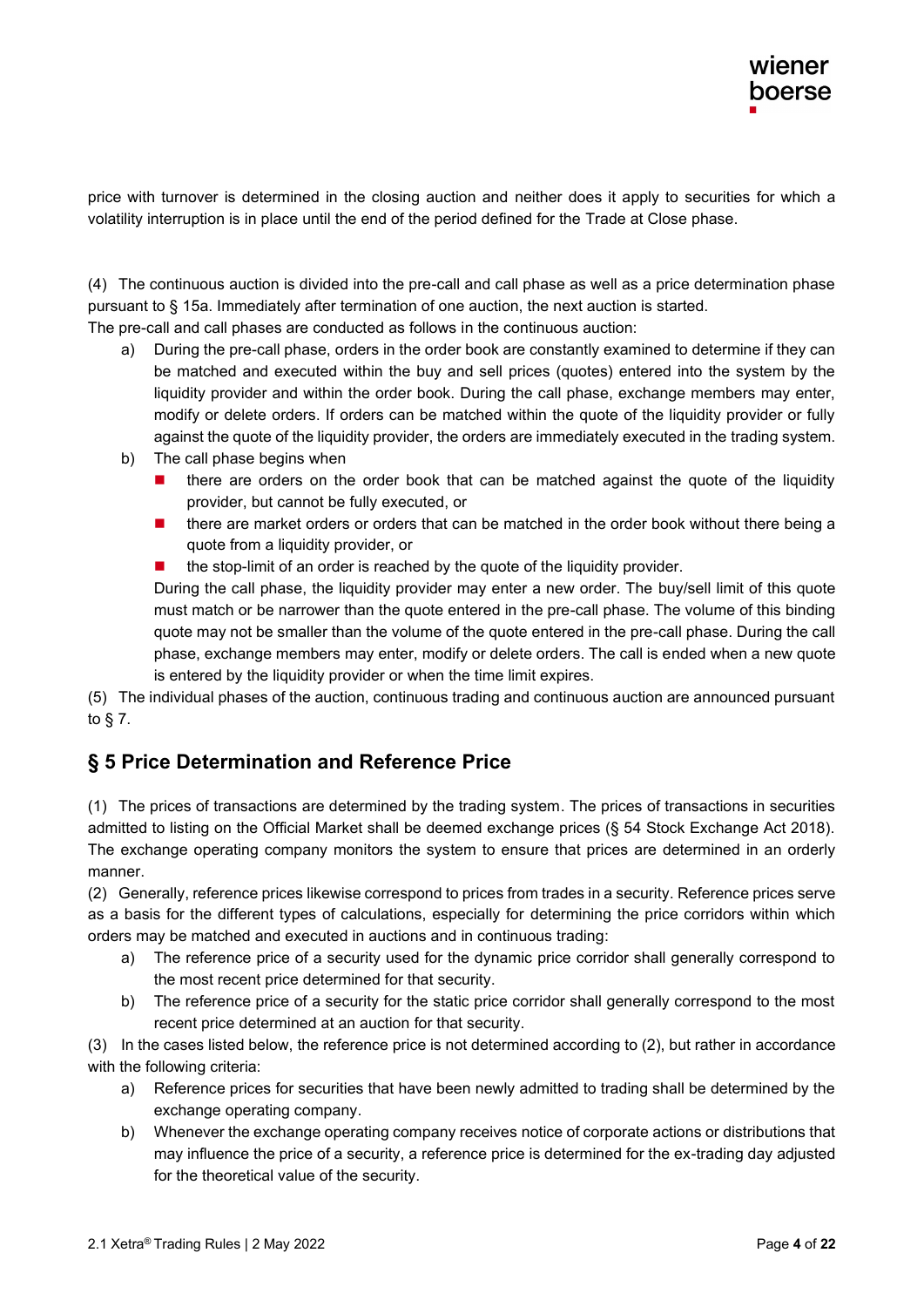price with turnover is determined in the closing auction and neither does it apply to securities for which a volatility interruption is in place until the end of the period defined for the Trade at Close phase.

(4) The continuous auction is divided into the pre-call and call phase as well as a price determination phase pursuant to § 15a. Immediately after termination of one auction, the next auction is started.

The pre-call and call phases are conducted as follows in the continuous auction:

- a) During the pre-call phase, orders in the order book are constantly examined to determine if they can be matched and executed within the buy and sell prices (quotes) entered into the system by the liquidity provider and within the order book. During the call phase, exchange members may enter, modify or delete orders. If orders can be matched within the quote of the liquidity provider or fully against the quote of the liquidity provider, the orders are immediately executed in the trading system.
- b) The call phase begins when
	- there are orders on the order book that can be matched against the quote of the liquidity provider, but cannot be fully executed, or
	- there are market orders or orders that can be matched in the order book without there being a quote from a liquidity provider, or
	- the stop-limit of an order is reached by the quote of the liquidity provider.

During the call phase, the liquidity provider may enter a new order. The buy/sell limit of this quote must match or be narrower than the quote entered in the pre-call phase. The volume of this binding quote may not be smaller than the volume of the quote entered in the pre-call phase. During the call phase, exchange members may enter, modify or delete orders. The call is ended when a new quote is entered by the liquidity provider or when the time limit expires.

(5) The individual phases of the auction, continuous trading and continuous auction are announced pursuant to § 7.

### **§ 5 Price Determination and Reference Price**

(1) The prices of transactions are determined by the trading system . The prices of transactions in securities admitted to listing on the Official Market shall be deemed exchange prices (§ 54 Stock Exchange Act 2018). The exchange operating company monitors the system to ensure that prices are determined in an orderly manner.

(2) Generally, reference prices likewise correspond to prices from trades in a security. Reference prices serve as a basis for the different types of calculations, especially for determining the price corridors within which orders may be matched and executed in auctions and in continuous trading:

- a) The reference price of a security used for the dynamic price corridor shall generally correspond to the most recent price determined for that security.
- b) The reference price of a security for the static price corridor shall generally correspond to the most recent price determined at an auction for that security.

(3) In the cases listed below, the reference price is not determined according to (2), but rather in accordance with the following criteria:

- a) Reference prices for securities that have been newly admitted to trading shall be determined by the exchange operating company.
- b) Whenever the exchange operating company receives notice of corporate actions or distributions that may influence the price of a security, a reference price is determined for the ex-trading day adjusted for the theoretical value of the security.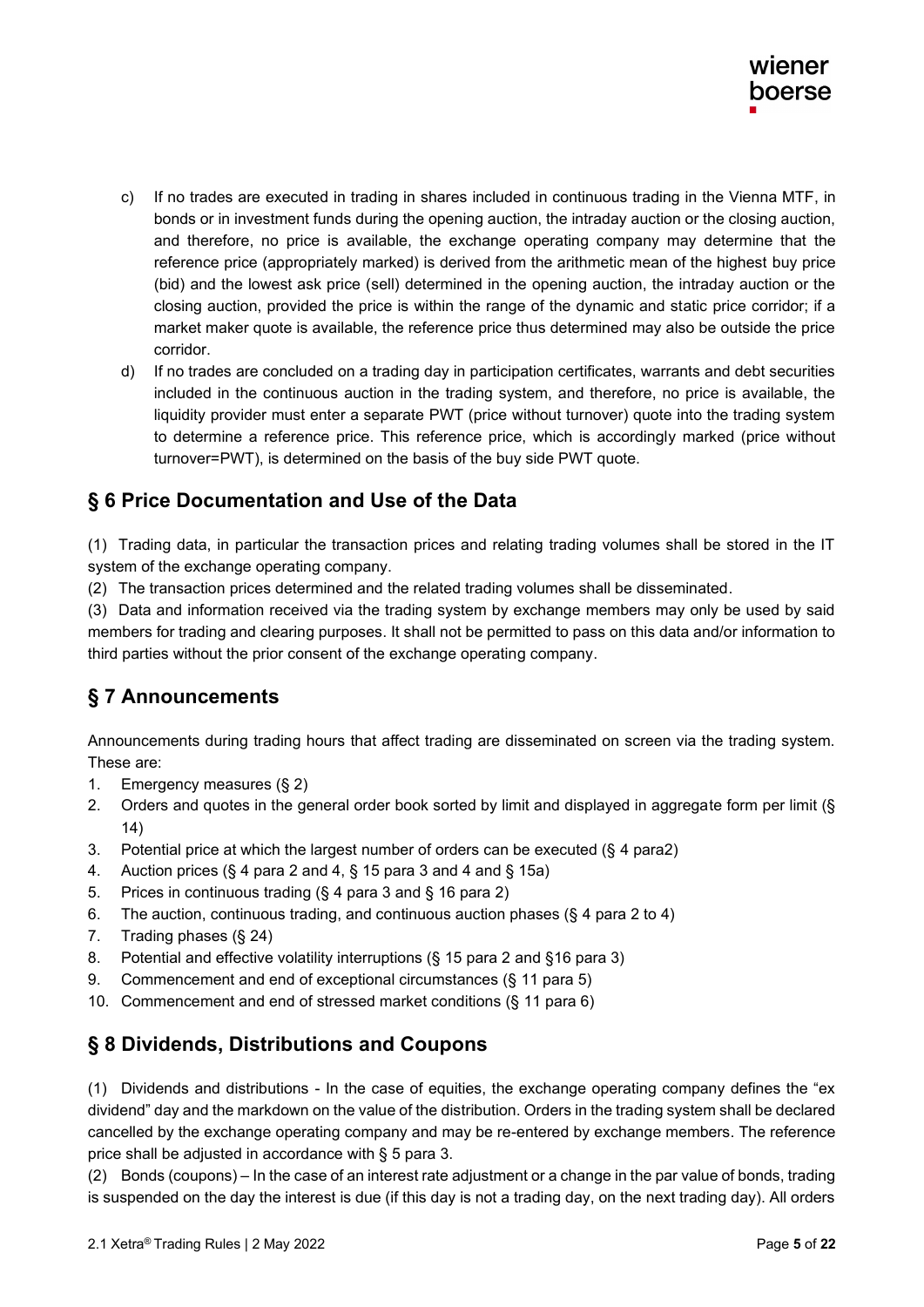- c) If no trades are executed in trading in shares included in continuous trading in the Vienna MTF, in bonds or in investment funds during the opening auction, the intraday auction or the closing auction, and therefore, no price is available, the exchange operating company may determine that the reference price (appropriately marked) is derived from the arithmetic mean of the highest buy price (bid) and the lowest ask price (sell) determined in the opening auction, the intraday auction or the closing auction, provided the price is within the range of the dynamic and static price corridor; if a market maker quote is available, the reference price thus determined may also be outside the price corridor.
- d) If no trades are concluded on a trading day in participation certificates, warrants and debt securities included in the continuous auction in the trading system, and therefore, no price is available, the liquidity provider must enter a separate PWT (price without turnover) quote into the trading system to determine a reference price. This reference price, which is accordingly marked (price without turnover=PWT), is determined on the basis of the buy side PWT quote.

### **§ 6 Price Documentation and Use of the Data**

(1) Trading data, in particular the transaction prices and relating trading volumes shall be stored in the IT system of the exchange operating company.

(2) The transaction prices determined and the related trading volumes shall be disseminated .

(3) Data and information received via the trading system by exchange members may only be used by said members for trading and clearing purposes. It shall not be permitted to pass on this data and/or information to third parties without the prior consent of the exchange operating company .

### **§ 7 Announcements**

Announcements during trading hours that affect trading are disseminated on screen via the trading system. These are:

- 1. Emergency measures (§ 2)
- 2. Orders and quotes in the general order book sorted by limit and displayed in aggregate form per limit (§ 14)
- 3. Potential price at which the largest number of orders can be executed (§ 4 para2)
- 4. Auction prices (§ 4 para 2 and 4, § 15 para 3 and 4 and § 15a)
- 5. Prices in continuous trading (§ 4 para 3 and § 16 para 2)
- 6. The auction, continuous trading, and continuous auction phases (§ 4 para 2 to 4)
- 7. Trading phases (§ 24)
- 8. Potential and effective volatility interruptions (§ 15 para 2 and §16 para 3)
- 9. Commencement and end of exceptional circumstances (§ 11 para 5)
- 10. Commencement and end of stressed market conditions (§ 11 para 6)

#### **§ 8 Dividends, Distributions and Coupons**

(1) Dividends and distributions - In the case of equities, the exchange operating company defines the "ex dividend" day and the markdown on the value of the distribution. Orders in the trading system shall be declared cancelled by the exchange operating company and may be re-entered by exchange members. The reference price shall be adjusted in accordance with § 5 para 3.

(2) Bonds (coupons) – In the case of an interest rate adjustment or a change in the par value of bonds, trading is suspended on the day the interest is due (if this day is not a trading day, on the next trading day). All orders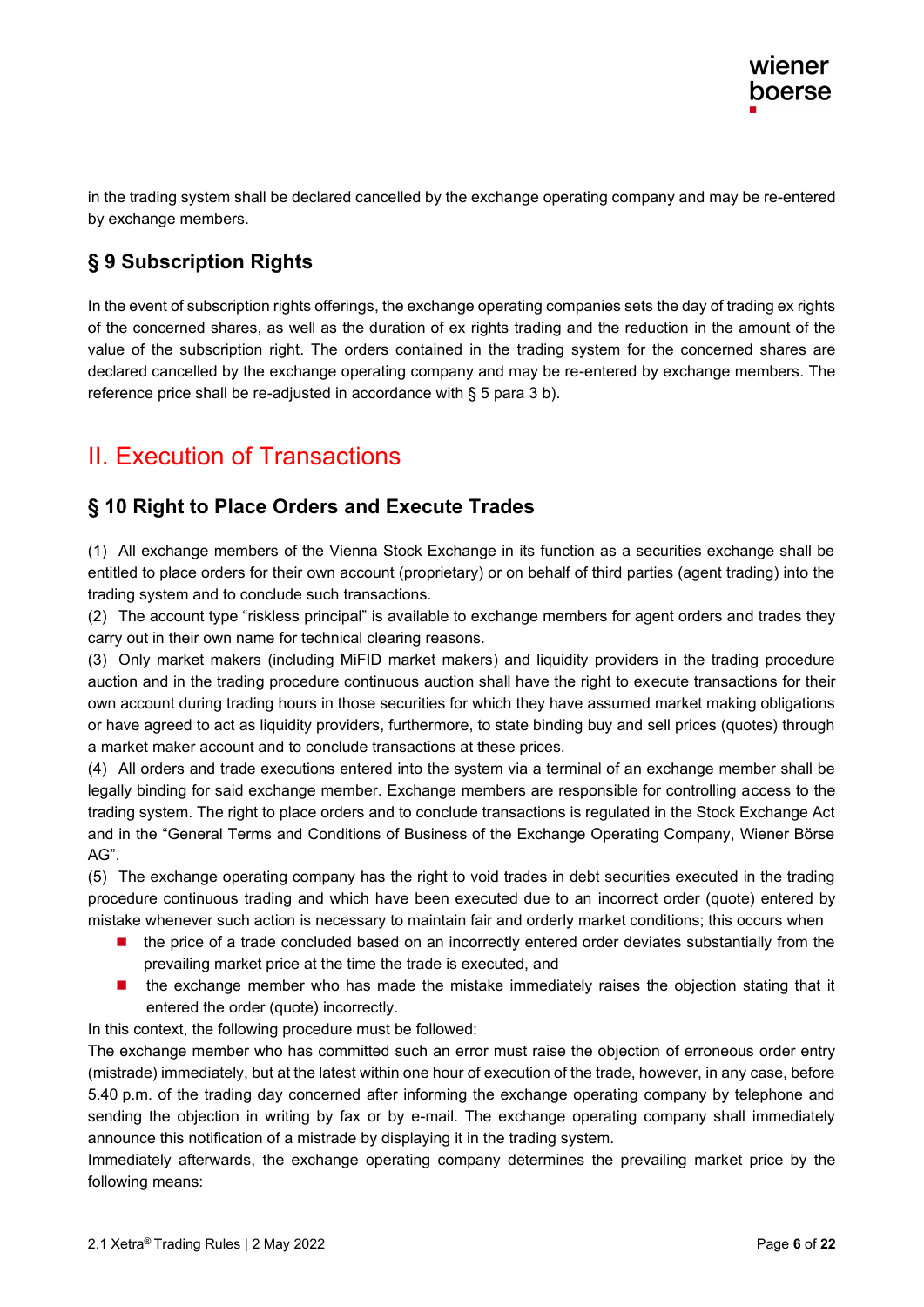in the trading system shall be declared cancelled by the exchange operating company and may be re-entered by exchange members.

## **§ 9 Subscription Rights**

In the event of subscription rights offerings, the exchange operating companies sets the day of trading ex rights of the concerned shares, as well as the duration of ex rights trading and the reduction in the amount of the value of the subscription right. The orders contained in the trading system for the concerned shares are declared cancelled by the exchange operating company and may be re-entered by exchange members. The reference price shall be re-adjusted in accordance with § 5 para 3 b).

# II. Execution of Transactions

#### **§ 10 Right to Place Orders and Execute Trades**

(1) All exchange members of the Vienna Stock Exchange in its function as a securities exchange shall be entitled to place orders for their own account (proprietary) or on behalf of third parties (agent trading) into the trading system and to conclude such transactions.

(2) The account type "riskless principal" is available to exchange members for agent orders and trades they carry out in their own name for technical clearing reasons.

(3) Only market makers (including MiFID market makers) and liquidity providers in the trading procedure auction and in the trading procedure continuous auction shall have the right to execute transactions for their own account during trading hours in those securities for which they have assumed market making obligations or have agreed to act as liquidity providers, furthermore, to state binding buy and sell prices (quotes) through a market maker account and to conclude transactions at these prices.

(4) All orders and trade executions entered into the system via a terminal of an exchange member shall be legally binding for said exchange member. Exchange members are responsible for controlling access to the trading system. The right to place orders and to conclude transactions is regulated in the Stock Exchange Act and in the "General Terms and Conditions of Business of the Exchange Operating Company, Wiener Börse AG".

(5) The exchange operating company has the right to void trades in debt securities executed in the trading procedure continuous trading and which have been executed due to an incorrect order (quote) entered by mistake whenever such action is necessary to maintain fair and orderly market conditions; this occurs when

- the price of a trade concluded based on an incorrectly entered order deviates substantially from the prevailing market price at the time the trade is executed, and
- the exchange member who has made the mistake immediately raises the objection stating that it entered the order (quote) incorrectly.

In this context, the following procedure must be followed:

The exchange member who has committed such an error must raise the objection of erroneous order entry (mistrade) immediately, but at the latest within one hour of execution of the trade, however, in any case, before 5.40 p.m. of the trading day concerned after informing the exchange operating company by telephone and sending the objection in writing by fax or by e-mail. The exchange operating company shall immediately announce this notification of a mistrade by displaying it in the trading system.

Immediately afterwards, the exchange operating company determines the prevailing market price by the following means: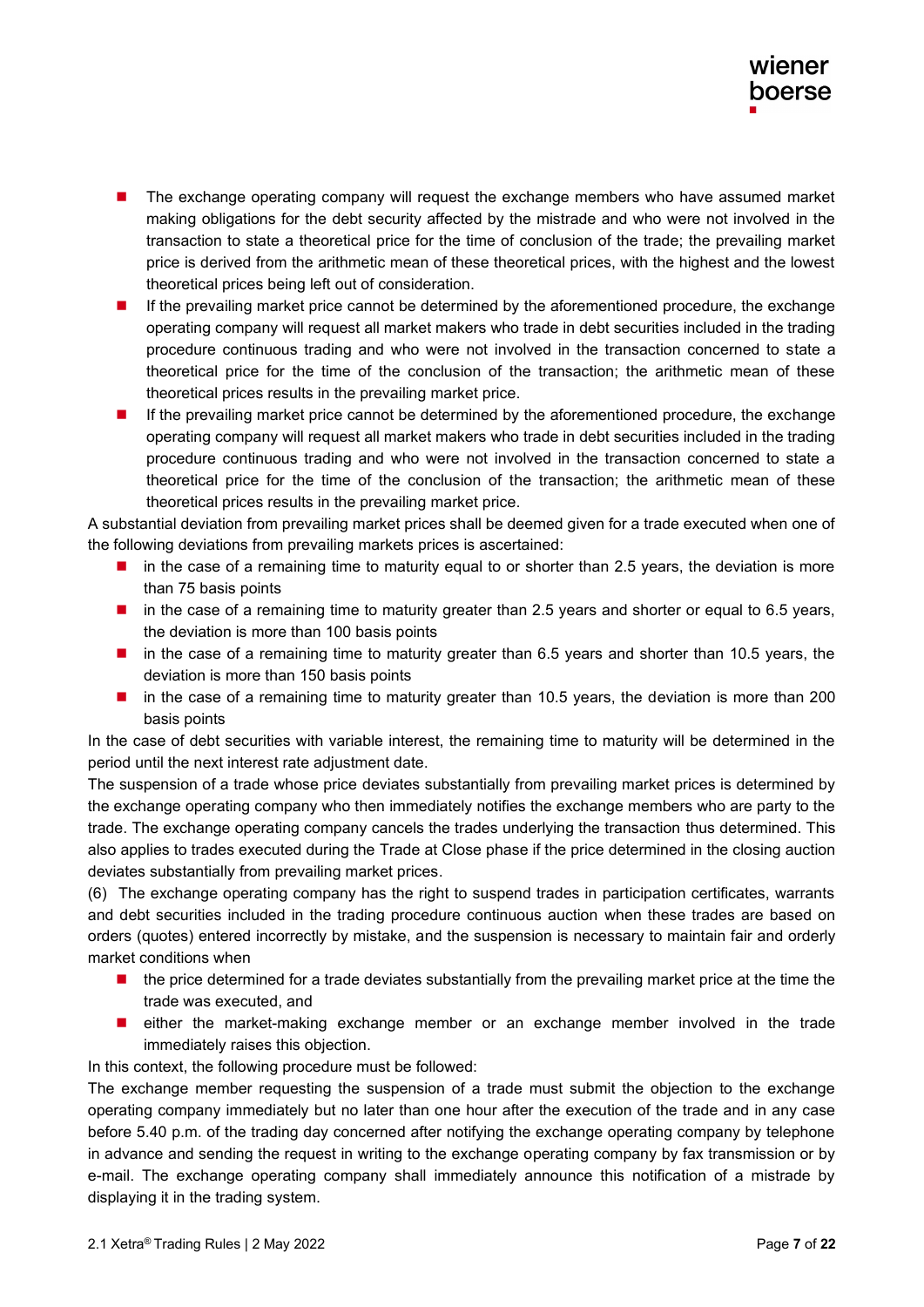- The exchange operating company will request the exchange members who have assumed market making obligations for the debt security affected by the mistrade and who were not involved in the transaction to state a theoretical price for the time of conclusion of the trade; the prevailing market price is derived from the arithmetic mean of these theoretical prices, with the highest and the lowest theoretical prices being left out of consideration.
- If the prevailing market price cannot be determined by the aforementioned procedure, the exchange operating company will request all market makers who trade in debt securities included in the trading procedure continuous trading and who were not involved in the transaction concerned to state a theoretical price for the time of the conclusion of the transaction; the arithmetic mean of these theoretical prices results in the prevailing market price.
- If the prevailing market price cannot be determined by the aforementioned procedure, the exchange operating company will request all market makers who trade in debt securities included in the trading procedure continuous trading and who were not involved in the transaction concerned to state a theoretical price for the time of the conclusion of the transaction; the arithmetic mean of these theoretical prices results in the prevailing market price.

A substantial deviation from prevailing market prices shall be deemed given for a trade executed when one of the following deviations from prevailing markets prices is ascertained:

- in the case of a remaining time to maturity equal to or shorter than 2.5 years, the deviation is more than 75 basis points
- in the case of a remaining time to maturity greater than 2.5 years and shorter or equal to 6.5 years, the deviation is more than 100 basis points
- in the case of a remaining time to maturity greater than 6.5 years and shorter than 10.5 years, the deviation is more than 150 basis points
- in the case of a remaining time to maturity greater than 10.5 years, the deviation is more than 200 basis points

In the case of debt securities with variable interest, the remaining time to maturity will be determined in the period until the next interest rate adjustment date.

The suspension of a trade whose price deviates substantially from prevailing market prices is determined by the exchange operating company who then immediately notifies the exchange members who are party to the trade. The exchange operating company cancels the trades underlying the transaction thus determined. This also applies to trades executed during the Trade at Close phase if the price determined in the closing auction deviates substantially from prevailing market prices.

(6) The exchange operating company has the right to suspend trades in participation certificates, warrants and debt securities included in the trading procedure continuous auction when these trades are based on orders (quotes) entered incorrectly by mistake, and the suspension is necessary to maintain fair and orderly market conditions when

- the price determined for a trade deviates substantially from the prevailing market price at the time the trade was executed, and
- either the market-making exchange member or an exchange member involved in the trade immediately raises this objection.

In this context, the following procedure must be followed:

The exchange member requesting the suspension of a trade must submit the objection to the exchange operating company immediately but no later than one hour after the execution of the trade and in any case before 5.40 p.m. of the trading day concerned after notifying the exchange operating company by telephone in advance and sending the request in writing to the exchange operating company by fax transmission or by e-mail. The exchange operating company shall immediately announce this notification of a mistrade by displaying it in the trading system.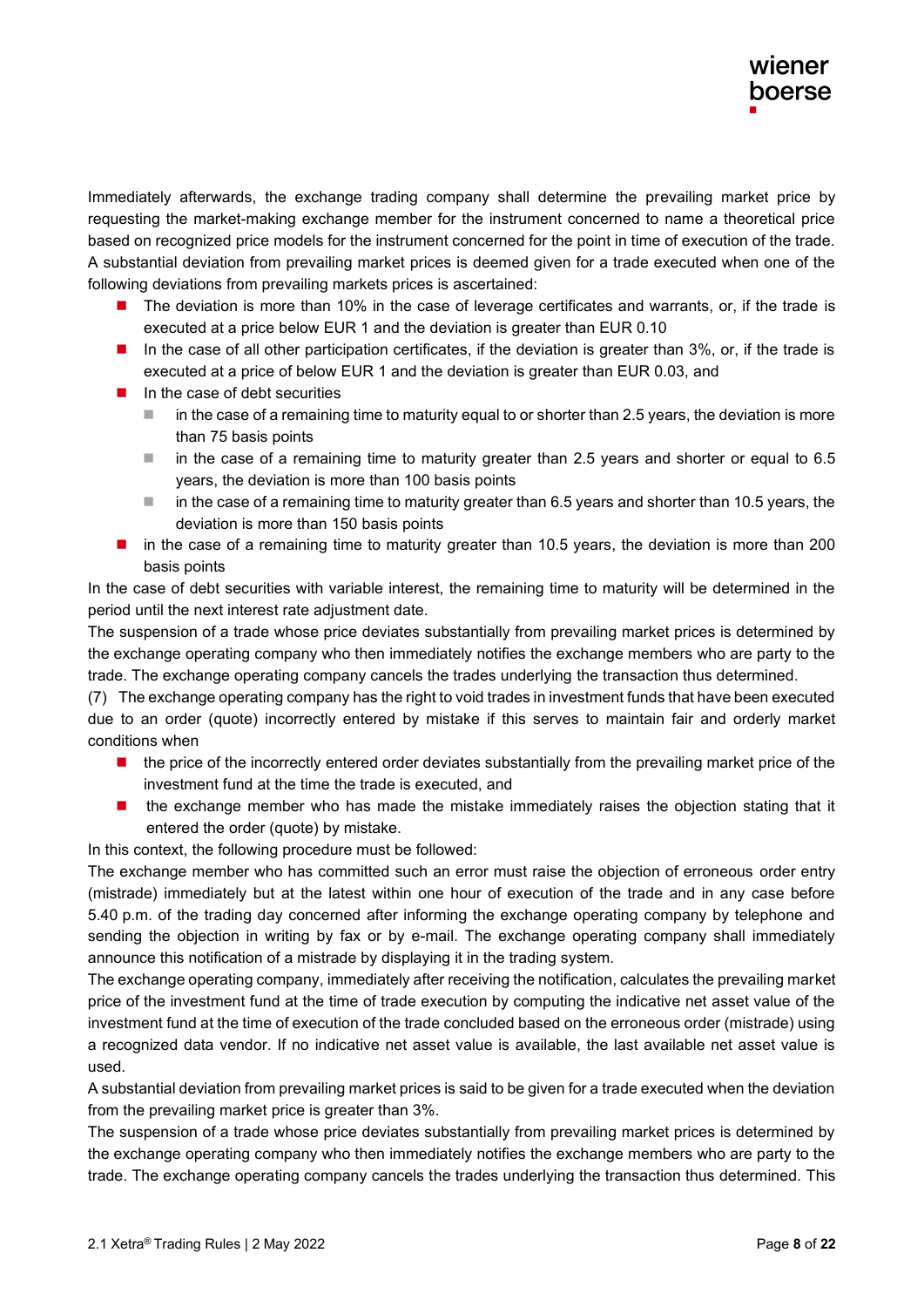Immediately afterwards, the exchange trading company shall determine the prevailing market price by requesting the market-making exchange member for the instrument concerned to name a theoretical price based on recognized price models for the instrument concerned for the point in time of execution of the trade. A substantial deviation from prevailing market prices is deemed given for a trade executed when one of the following deviations from prevailing markets prices is ascertained:

- The deviation is more than 10% in the case of leverage certificates and warrants, or, if the trade is executed at a price below EUR 1 and the deviation is greater than EUR 0.10
- In the case of all other participation certificates, if the deviation is greater than 3%, or, if the trade is executed at a price of below EUR 1 and the deviation is greater than EUR 0.03, and
- $\blacksquare$  In the case of debt securities
	- in the case of a remaining time to maturity equal to or shorter than 2.5 years, the deviation is more than 75 basis points
	- $\blacksquare$  in the case of a remaining time to maturity greater than 2.5 years and shorter or equal to 6.5 years, the deviation is more than 100 basis points
	- $\blacksquare$  in the case of a remaining time to maturity greater than 6.5 years and shorter than 10.5 years, the deviation is more than 150 basis points
- in the case of a remaining time to maturity greater than 10.5 years, the deviation is more than 200 basis points

In the case of debt securities with variable interest, the remaining time to maturity will be determined in the period until the next interest rate adjustment date.

The suspension of a trade whose price deviates substantially from prevailing market prices is determined by the exchange operating company who then immediately notifies the exchange members who are party to the trade. The exchange operating company cancels the trades underlying the transaction thus determined.

(7) The exchange operating company has the right to void trades in investment funds that have been executed due to an order (quote) incorrectly entered by mistake if this serves to maintain fair and orderly market conditions when

- the price of the incorrectly entered order deviates substantially from the prevailing market price of the investment fund at the time the trade is executed, and
- the exchange member who has made the mistake immediately raises the objection stating that it entered the order (quote) by mistake.

In this context, the following procedure must be followed:

The exchange member who has committed such an error must raise the objection of erroneous order entry (mistrade) immediately but at the latest within one hour of execution of the trade and in any case before 5.40 p.m. of the trading day concerned after informing the exchange operating company by telephone and sending the objection in writing by fax or by e-mail. The exchange operating company shall immediately announce this notification of a mistrade by displaying it in the trading system.

The exchange operating company, immediately after receiving the notification, calculates the prevailing market price of the investment fund at the time of trade execution by computing the indicative net asset value of the investment fund at the time of execution of the trade concluded based on the erroneous order (mistrade) using a recognized data vendor. If no indicative net asset value is available, the last available net asset value is used.

A substantial deviation from prevailing market prices is said to be given for a trade executed when the deviation from the prevailing market price is greater than 3%.

The suspension of a trade whose price deviates substantially from prevailing market prices is determined by the exchange operating company who then immediately notifies the exchange members who are party to the trade. The exchange operating company cancels the trades underlying the transaction thus determined. This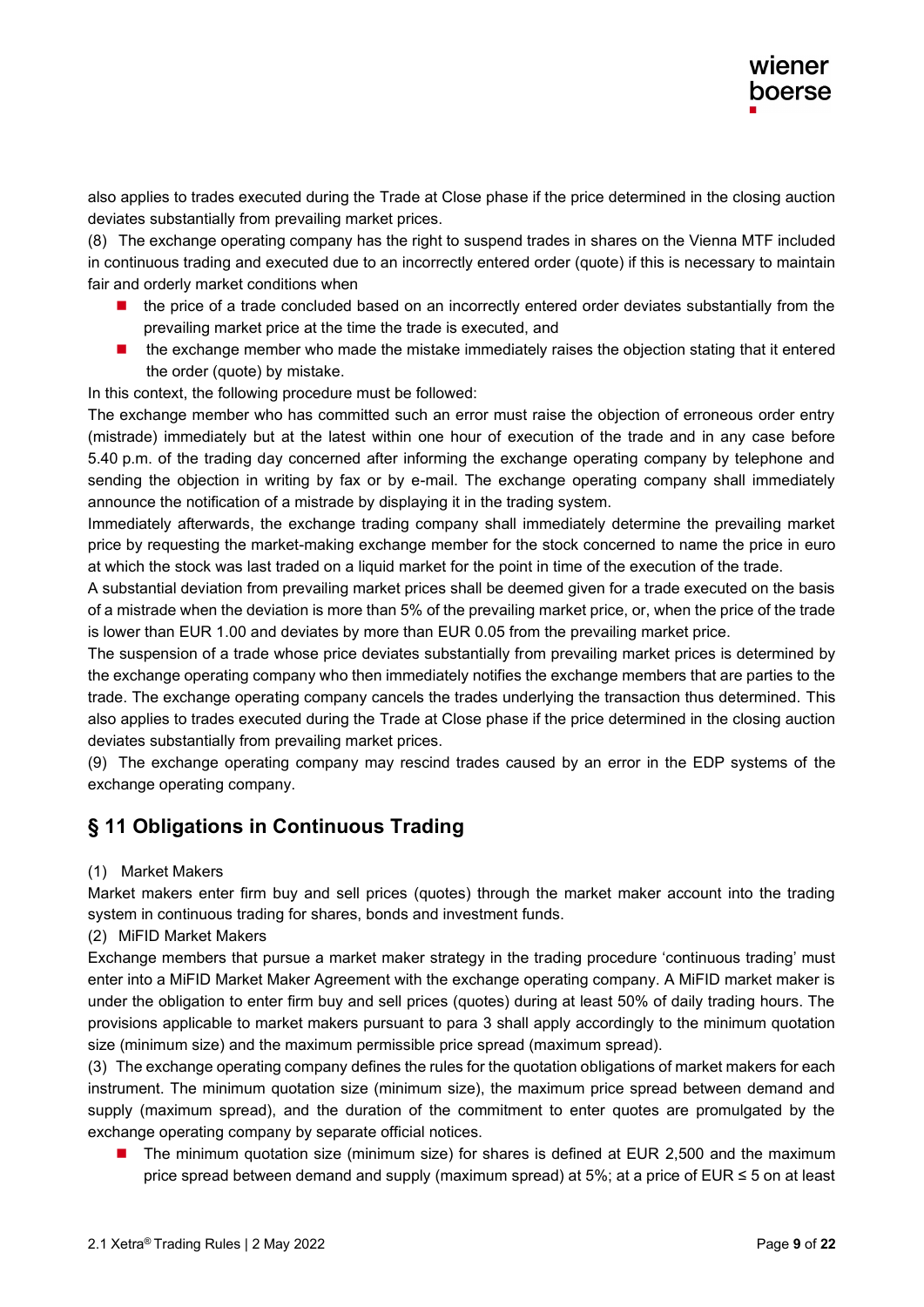also applies to trades executed during the Trade at Close phase if the price determined in the closing auction deviates substantially from prevailing market prices.

(8) The exchange operating company has the right to suspend trades in shares on the Vienna MTF included in continuous trading and executed due to an incorrectly entered order (quote) if this is necessary to maintain fair and orderly market conditions when

- the price of a trade concluded based on an incorrectly entered order deviates substantially from the prevailing market price at the time the trade is executed, and
- the exchange member who made the mistake immediately raises the objection stating that it entered the order (quote) by mistake.

In this context, the following procedure must be followed:

The exchange member who has committed such an error must raise the objection of erroneous order entry (mistrade) immediately but at the latest within one hour of execution of the trade and in any case before 5.40 p.m. of the trading day concerned after informing the exchange operating company by telephone and sending the objection in writing by fax or by e-mail. The exchange operating company shall immediately announce the notification of a mistrade by displaying it in the trading system.

Immediately afterwards, the exchange trading company shall immediately determine the prevailing market price by requesting the market-making exchange member for the stock concerned to name the price in euro at which the stock was last traded on a liquid market for the point in time of the execution of the trade.

A substantial deviation from prevailing market prices shall be deemed given for a trade executed on the basis of a mistrade when the deviation is more than 5% of the prevailing market price, or, when the price of the trade is lower than EUR 1.00 and deviates by more than EUR 0.05 from the prevailing market price.

The suspension of a trade whose price deviates substantially from prevailing market prices is determined by the exchange operating company who then immediately notifies the exchange members that are parties to the trade. The exchange operating company cancels the trades underlying the transaction thus determined. This also applies to trades executed during the Trade at Close phase if the price determined in the closing auction deviates substantially from prevailing market prices.

(9) The exchange operating company may rescind trades caused by an error in the EDP systems of the exchange operating company.

### **§ 11 Obligations in Continuous Trading**

#### (1) Market Makers

Market makers enter firm buy and sell prices (quotes) through the market maker account into the trading system in continuous trading for shares, bonds and investment funds.

#### (2) MiFID Market Makers

Exchange members that pursue a market maker strategy in the trading procedure 'continuous trading' must enter into a MiFID Market Maker Agreement with the exchange operating company. A MiFID market maker is under the obligation to enter firm buy and sell prices (quotes) during at least 50% of daily trading hours. The provisions applicable to market makers pursuant to para 3 shall apply accordingly to the minimum quotation size (minimum size) and the maximum permissible price spread (maximum spread).

(3) The exchange operating company defines the rules for the quotation obligations of market makers for each instrument. The minimum quotation size (minimum size), the maximum price spread between demand and supply (maximum spread), and the duration of the commitment to enter quotes are promulgated by the exchange operating company by separate official notices.

■ The minimum quotation size (minimum size) for shares is defined at EUR 2,500 and the maximum price spread between demand and supply (maximum spread) at 5%; at a price of EUR  $\leq$  5 on at least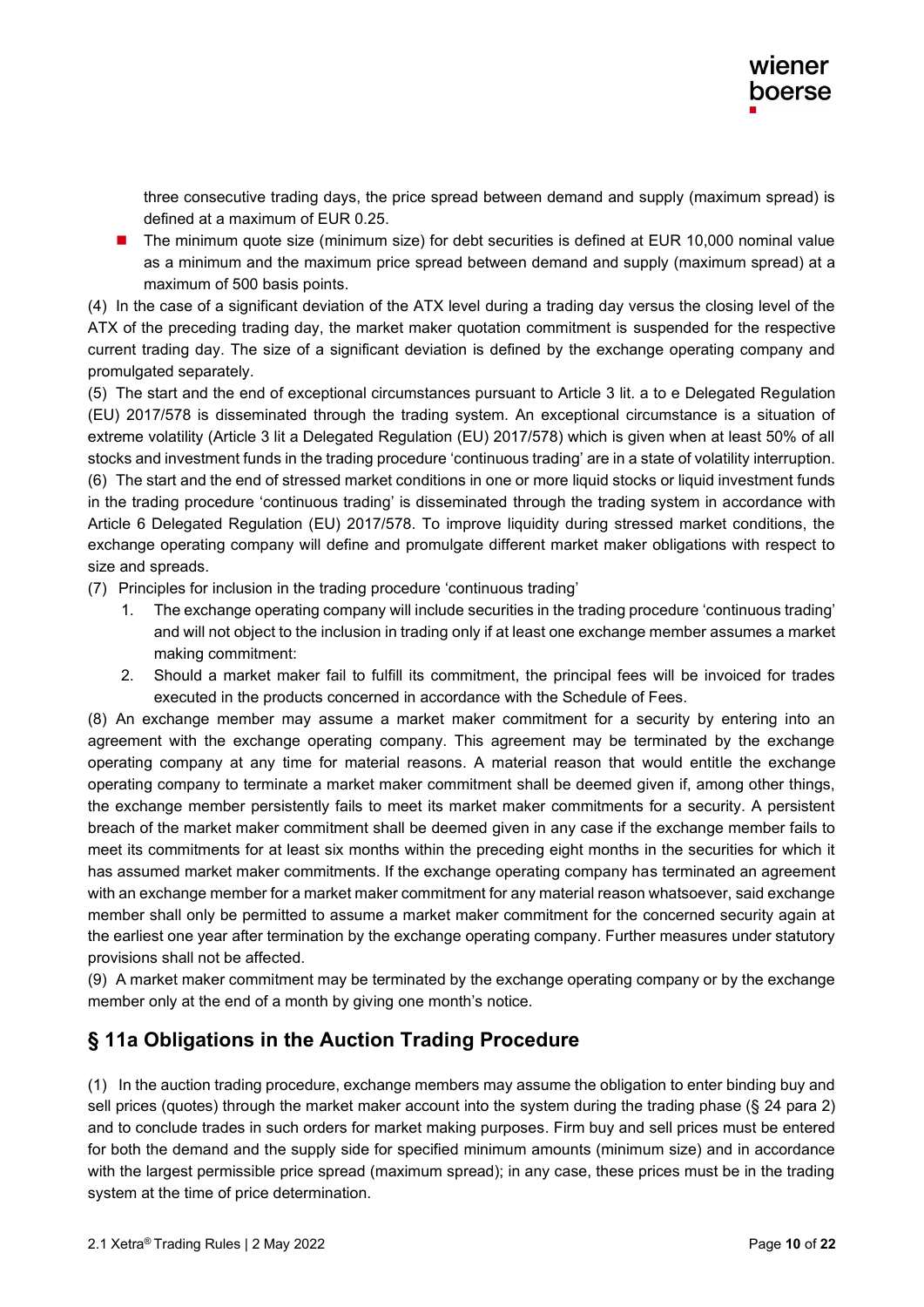three consecutive trading days, the price spread between demand and supply (maximum spread) is defined at a maximum of EUR 0.25.

The minimum quote size (minimum size) for debt securities is defined at EUR 10,000 nominal value as a minimum and the maximum price spread between demand and supply (maximum spread) at a maximum of 500 basis points.

(4) In the case of a significant deviation of the ATX level during a trading day versus the closing level of the ATX of the preceding trading day, the market maker quotation commitment is suspended for the respective current trading day. The size of a significant deviation is defined by the exchange operating company and promulgated separately.

(5) The start and the end of exceptional circumstances pursuant to Article 3 lit. a to e Delegated Regulation (EU) 2017/578 is disseminated through the trading system. An exceptional circumstance is a situation of extreme volatility (Article 3 lit a Delegated Regulation (EU) 2017/578) which is given when at least 50% of all stocks and investment funds in the trading procedure 'continuous trading' are in a state of volatility interruption. (6) The start and the end of stressed market conditions in one or more liquid stocks or liquid investment funds in the trading procedure 'continuous trading' is disseminated through the trading system in accordance with Article 6 Delegated Regulation (EU) 2017/578. To improve liquidity during stressed market conditions, the exchange operating company will define and promulgate different market maker obligations with respect to size and spreads.

- (7) Principles for inclusion in the trading procedure 'continuous trading'
	- 1. The exchange operating company will include securities in the trading procedure 'continuous trading' and will not object to the inclusion in trading only if at least one exchange member assumes a market making commitment:
	- 2. Should a market maker fail to fulfill its commitment, the principal fees will be invoiced for trades executed in the products concerned in accordance with the Schedule of Fees.

(8) An exchange member may assume a market maker commitment for a security by entering into an agreement with the exchange operating company. This agreement may be terminated by the exchange operating company at any time for material reasons. A material reason that would entitle the exchange operating company to terminate a market maker commitment shall be deemed given if, among other things, the exchange member persistently fails to meet its market maker commitments for a security. A persistent breach of the market maker commitment shall be deemed given in any case if the exchange member fails to meet its commitments for at least six months within the preceding eight months in the securities for which it has assumed market maker commitments. If the exchange operating company has terminated an agreement with an exchange member for a market maker commitment for any material reason whatsoever, said exchange member shall only be permitted to assume a market maker commitment for the concerned security again at the earliest one year after termination by the exchange operating company. Further measures under statutory provisions shall not be affected.

(9) A market maker commitment may be terminated by the exchange operating company or by the exchange member only at the end of a month by giving one month's notice.

#### **§ 11a Obligations in the Auction Trading Procedure**

(1) In the auction trading procedure, exchange members may assume the obligation to enter binding buy and sell prices (quotes) through the market maker account into the system during the trading phase (§ 24 para 2) and to conclude trades in such orders for market making purposes. Firm buy and sell prices must be entered for both the demand and the supply side for specified minimum amounts (minimum size) and in accordance with the largest permissible price spread (maximum spread); in any case, these prices must be in the trading system at the time of price determination.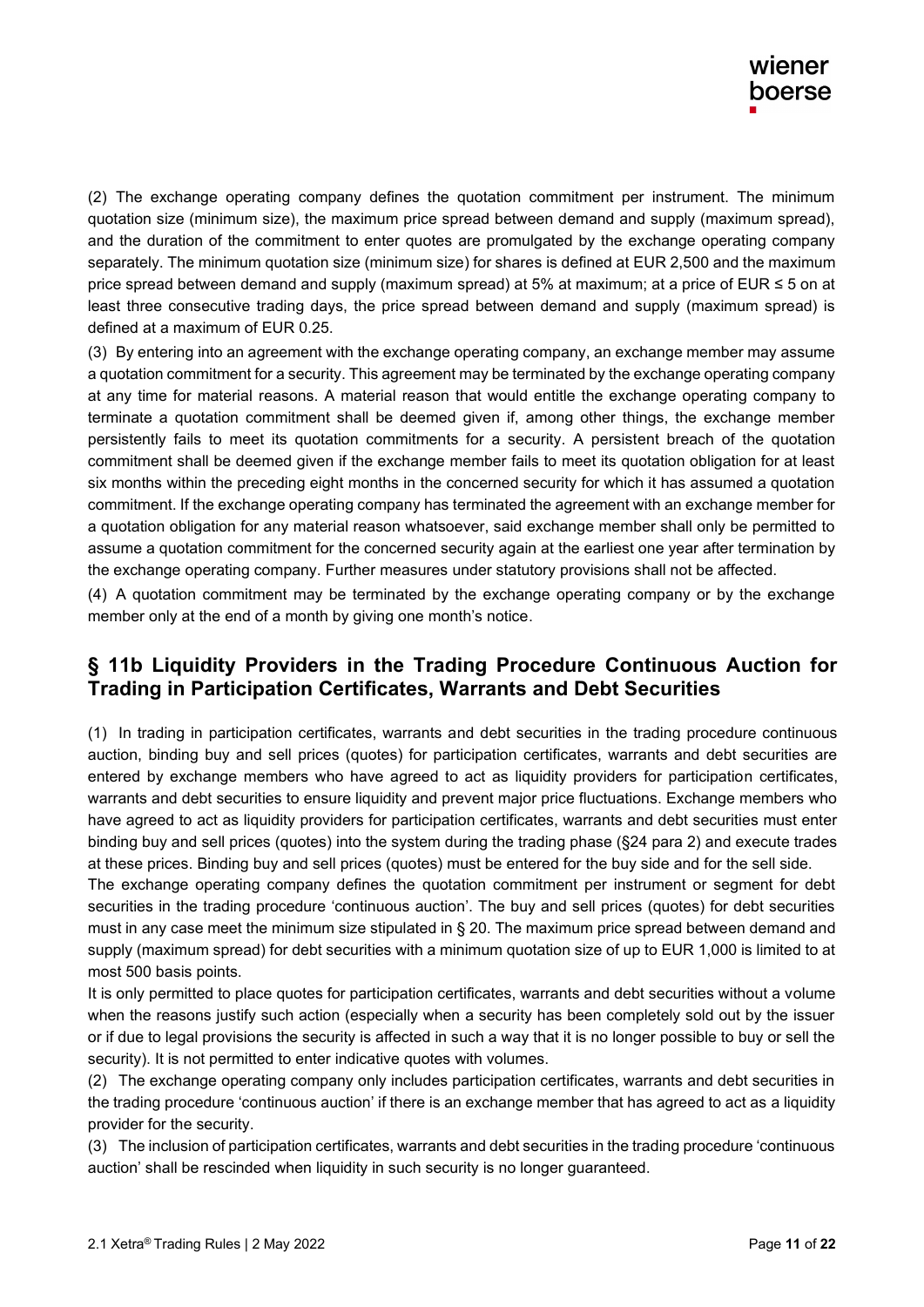(2) The exchange operating company defines the quotation commitment per instrument. The minimum quotation size (minimum size), the maximum price spread between demand and supply (maximum spread), and the duration of the commitment to enter quotes are promulgated by the exchange operating company separately. The minimum quotation size (minimum size) for shares is defined at EUR 2,500 and the maximum price spread between demand and supply (maximum spread) at 5% at maximum; at a price of EUR ≤ 5 on at least three consecutive trading days, the price spread between demand and supply (maximum spread) is defined at a maximum of EUR 0.25.

(3) By entering into an agreement with the exchange operating company, an exchange member may assume a quotation commitment for a security. This agreement may be terminated by the exchange operating company at any time for material reasons. A material reason that would entitle the exchange operating company to terminate a quotation commitment shall be deemed given if, among other things, the exchange member persistently fails to meet its quotation commitments for a security. A persistent breach of the quotation commitment shall be deemed given if the exchange member fails to meet its quotation obligation for at least six months within the preceding eight months in the concerned security for which it has assumed a quotation commitment. If the exchange operating company has terminated the agreement with an exchange member for a quotation obligation for any material reason whatsoever, said exchange member shall only be permitted to assume a quotation commitment for the concerned security again at the earliest one year after termination by the exchange operating company. Further measures under statutory provisions shall not be affected.

(4) A quotation commitment may be terminated by the exchange operating company or by the exchange member only at the end of a month by giving one month's notice .

#### **§ 11b Liquidity Providers in the Trading Procedure Continuous Auction for Trading in Participation Certificates, Warrants and Debt Securities**

(1) In trading in participation certificates, warrants and debt securities in the trading procedure continuous auction, binding buy and sell prices (quotes) for participation certificates, warrants and debt securities are entered by exchange members who have agreed to act as liquidity providers for participation certificates, warrants and debt securities to ensure liquidity and prevent major price fluctuations. Exchange members who have agreed to act as liquidity providers for participation certificates, warrants and debt securities must enter binding buy and sell prices (quotes) into the system during the trading phase (§24 para 2) and execute trades at these prices. Binding buy and sell prices (quotes) must be entered for the buy side and for the sell side.

The exchange operating company defines the quotation commitment per instrument or segment for debt securities in the trading procedure 'continuous auction'. The buy and sell prices (quotes) for debt securities must in any case meet the minimum size stipulated in § 20. The maximum price spread between demand and supply (maximum spread) for debt securities with a minimum quotation size of up to EUR 1,000 is limited to at most 500 basis points.

It is only permitted to place quotes for participation certificates, warrants and debt securities without a volume when the reasons justify such action (especially when a security has been completely sold out by the issuer or if due to legal provisions the security is affected in such a way that it is no longer possible to buy or sell the security). It is not permitted to enter indicative quotes with volumes.

(2) The exchange operating company only includes participation certificates, warrants and debt securities in the trading procedure 'continuous auction' if there is an exchange member that has agreed to act as a liquidity provider for the security.

(3) The inclusion of participation certificates, warrants and debt securities in the trading procedure 'continuous auction' shall be rescinded when liquidity in such security is no longer guaranteed.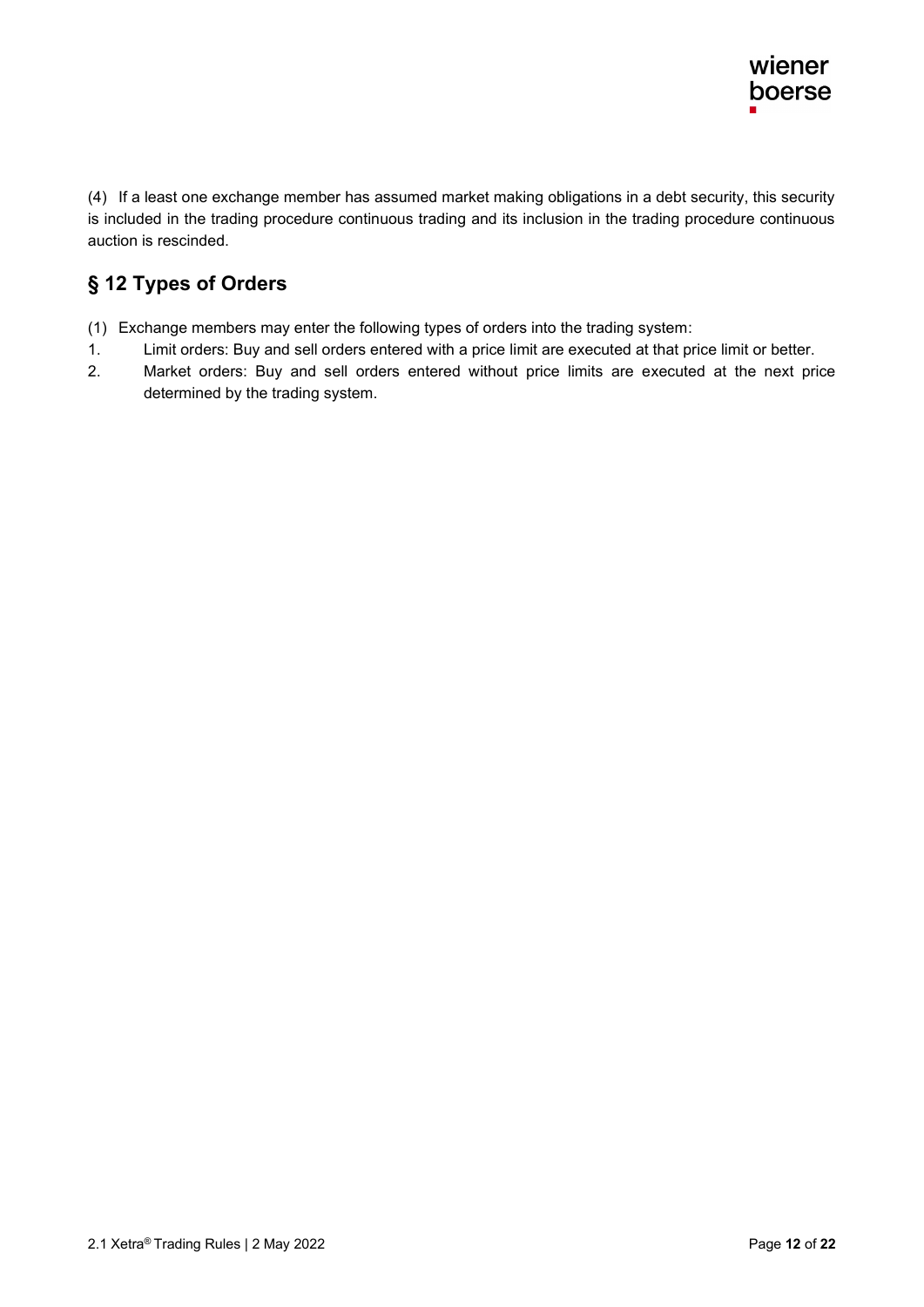(4) If a least one exchange member has assumed market making obligations in a debt security, this security is included in the trading procedure continuous trading and its inclusion in the trading procedure continuous auction is rescinded.

## **§ 12 Types of Orders**

- (1) Exchange members may enter the following types of orders into the trading system :
- 1. Limit orders: Buy and sell orders entered with a price limit are executed at that price limit or better.
- 2. Market orders: Buy and sell orders entered without price limits are executed at the next price determined by the trading system.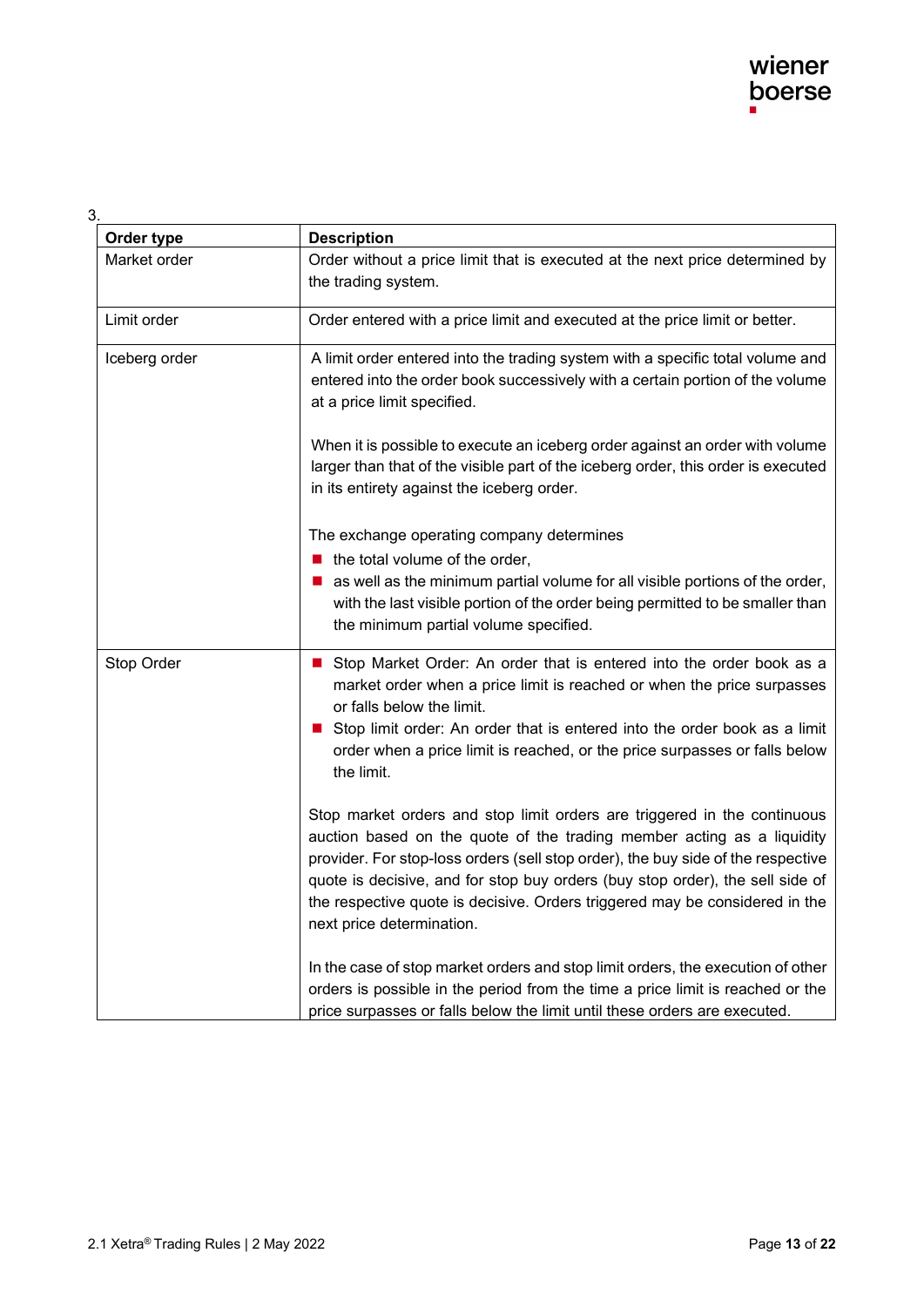#### 3.

| Order type    | <b>Description</b>                                                                                                                                                                                                                                                                                                                                                                                                                  |
|---------------|-------------------------------------------------------------------------------------------------------------------------------------------------------------------------------------------------------------------------------------------------------------------------------------------------------------------------------------------------------------------------------------------------------------------------------------|
| Market order  | Order without a price limit that is executed at the next price determined by<br>the trading system.                                                                                                                                                                                                                                                                                                                                 |
| Limit order   | Order entered with a price limit and executed at the price limit or better.                                                                                                                                                                                                                                                                                                                                                         |
| Iceberg order | A limit order entered into the trading system with a specific total volume and<br>entered into the order book successively with a certain portion of the volume<br>at a price limit specified.                                                                                                                                                                                                                                      |
|               | When it is possible to execute an iceberg order against an order with volume<br>larger than that of the visible part of the iceberg order, this order is executed<br>in its entirety against the iceberg order.                                                                                                                                                                                                                     |
|               | The exchange operating company determines<br>$\blacksquare$ the total volume of the order,<br>as well as the minimum partial volume for all visible portions of the order,<br>with the last visible portion of the order being permitted to be smaller than<br>the minimum partial volume specified.                                                                                                                                |
| Stop Order    | Stop Market Order: An order that is entered into the order book as a<br>$\mathbf{r}$<br>market order when a price limit is reached or when the price surpasses<br>or falls below the limit.<br>Stop limit order: An order that is entered into the order book as a limit<br>order when a price limit is reached, or the price surpasses or falls below<br>the limit.                                                                |
|               | Stop market orders and stop limit orders are triggered in the continuous<br>auction based on the quote of the trading member acting as a liquidity<br>provider. For stop-loss orders (sell stop order), the buy side of the respective<br>quote is decisive, and for stop buy orders (buy stop order), the sell side of<br>the respective quote is decisive. Orders triggered may be considered in the<br>next price determination. |
|               | In the case of stop market orders and stop limit orders, the execution of other<br>orders is possible in the period from the time a price limit is reached or the<br>price surpasses or falls below the limit until these orders are executed.                                                                                                                                                                                      |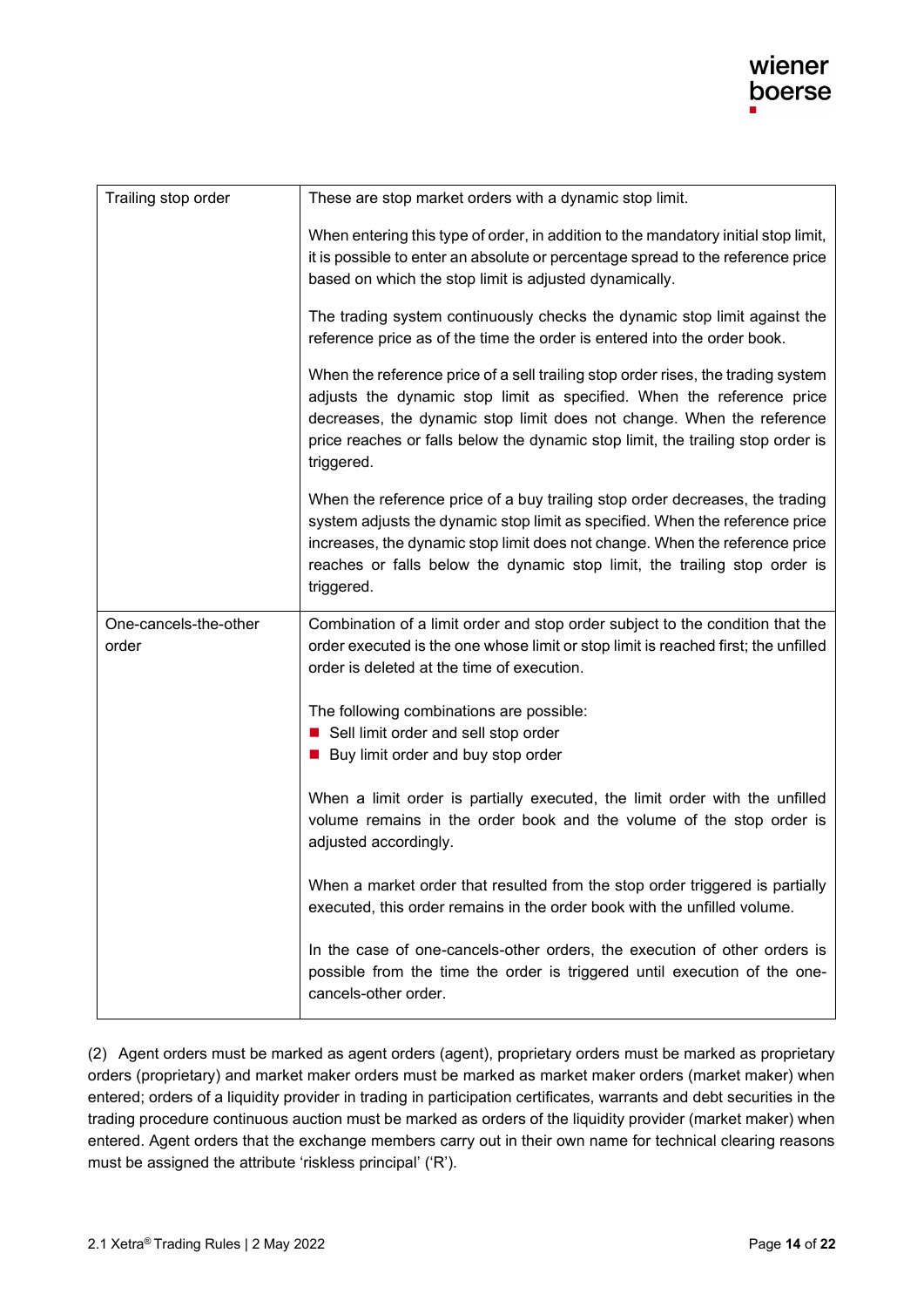| Trailing stop order            | These are stop market orders with a dynamic stop limit.                                                                                                                                                                                                                                                                                |
|--------------------------------|----------------------------------------------------------------------------------------------------------------------------------------------------------------------------------------------------------------------------------------------------------------------------------------------------------------------------------------|
|                                | When entering this type of order, in addition to the mandatory initial stop limit,<br>it is possible to enter an absolute or percentage spread to the reference price<br>based on which the stop limit is adjusted dynamically.                                                                                                        |
|                                | The trading system continuously checks the dynamic stop limit against the<br>reference price as of the time the order is entered into the order book.                                                                                                                                                                                  |
|                                | When the reference price of a sell trailing stop order rises, the trading system<br>adjusts the dynamic stop limit as specified. When the reference price<br>decreases, the dynamic stop limit does not change. When the reference<br>price reaches or falls below the dynamic stop limit, the trailing stop order is<br>triggered.    |
|                                | When the reference price of a buy trailing stop order decreases, the trading<br>system adjusts the dynamic stop limit as specified. When the reference price<br>increases, the dynamic stop limit does not change. When the reference price<br>reaches or falls below the dynamic stop limit, the trailing stop order is<br>triggered. |
| One-cancels-the-other<br>order | Combination of a limit order and stop order subject to the condition that the<br>order executed is the one whose limit or stop limit is reached first; the unfilled<br>order is deleted at the time of execution.                                                                                                                      |
|                                | The following combinations are possible:<br>■ Sell limit order and sell stop order<br>■ Buy limit order and buy stop order                                                                                                                                                                                                             |
|                                | When a limit order is partially executed, the limit order with the unfilled<br>volume remains in the order book and the volume of the stop order is<br>adjusted accordingly.                                                                                                                                                           |
|                                | When a market order that resulted from the stop order triggered is partially<br>executed, this order remains in the order book with the unfilled volume.                                                                                                                                                                               |
|                                | In the case of one-cancels-other orders, the execution of other orders is<br>possible from the time the order is triggered until execution of the one-<br>cancels-other order.                                                                                                                                                         |

(2) Agent orders must be marked as agent orders (agent), proprietary orders must be marked as proprietary orders (proprietary) and market maker orders must be marked as market maker orders (market maker) when entered; orders of a liquidity provider in trading in participation certificates, warrants and debt securities in the trading procedure continuous auction must be marked as orders of the liquidity provider (market maker) when entered. Agent orders that the exchange members carry out in their own name for technical clearing reasons must be assigned the attribute 'riskless principal' ('R').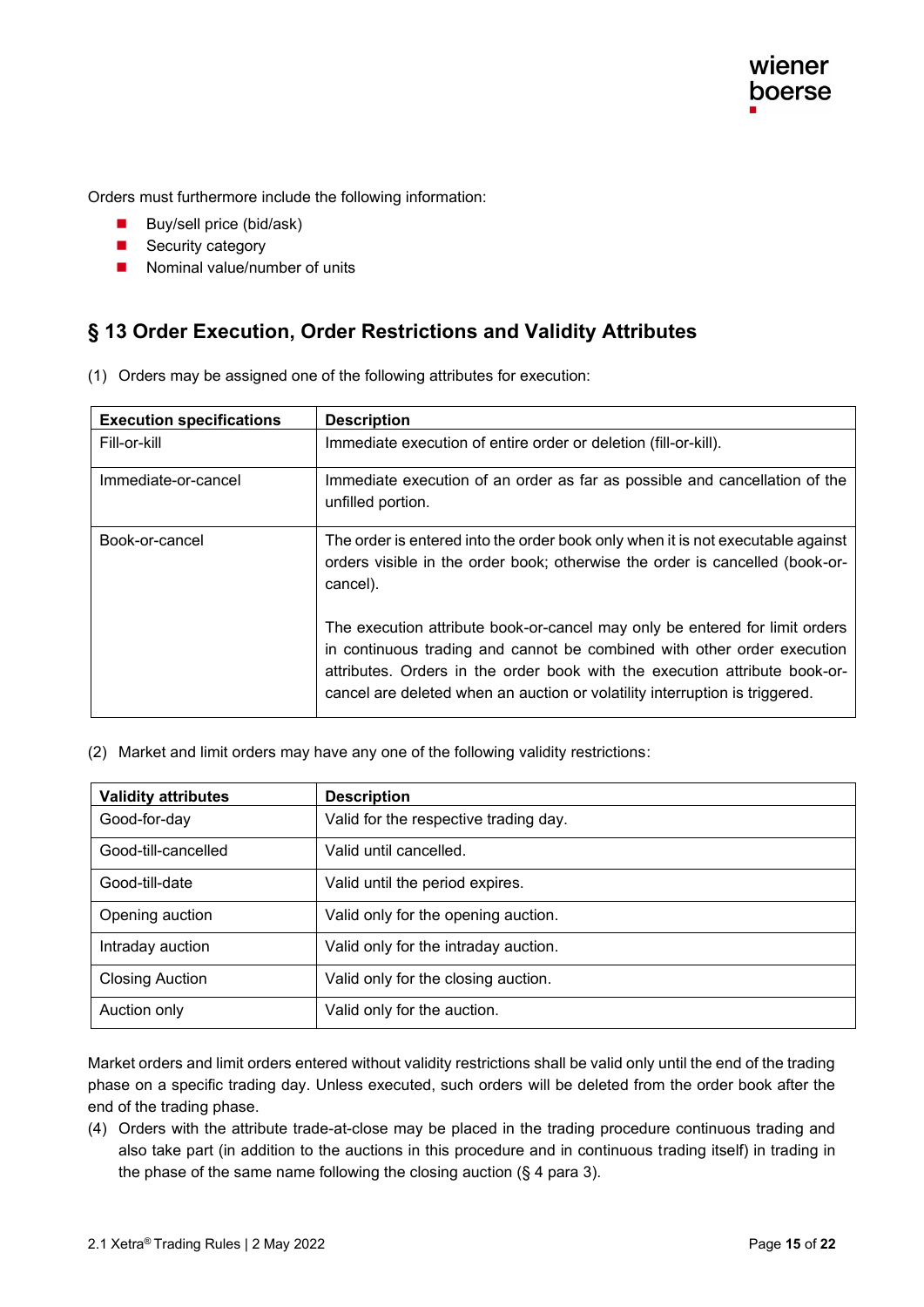Orders must furthermore include the following information:

- Buy/sell price (bid/ask)
- Security category
- Nominal value/number of units

#### **§ 13 Order Execution, Order Restrictions and Validity Attributes**

|  | (1) Orders may be assigned one of the following attributes for execution: |  |  |
|--|---------------------------------------------------------------------------|--|--|
|  |                                                                           |  |  |

| <b>Execution specifications</b> | <b>Description</b>                                                                                                                                                                                                                                                                                                  |
|---------------------------------|---------------------------------------------------------------------------------------------------------------------------------------------------------------------------------------------------------------------------------------------------------------------------------------------------------------------|
| Fill-or-kill                    | Immediate execution of entire order or deletion (fill-or-kill).                                                                                                                                                                                                                                                     |
| Immediate-or-cancel             | Immediate execution of an order as far as possible and cancellation of the<br>unfilled portion.                                                                                                                                                                                                                     |
| Book-or-cancel                  | The order is entered into the order book only when it is not executable against<br>orders visible in the order book; otherwise the order is cancelled (book-or-<br>cancel).                                                                                                                                         |
|                                 | The execution attribute book-or-cancel may only be entered for limit orders<br>in continuous trading and cannot be combined with other order execution<br>attributes. Orders in the order book with the execution attribute book-or-<br>cancel are deleted when an auction or volatility interruption is triggered. |

(2) Market and limit orders may have any one of the following validity restrictions :

| <b>Validity attributes</b> | <b>Description</b>                    |
|----------------------------|---------------------------------------|
| Good-for-day               | Valid for the respective trading day. |
| Good-till-cancelled        | Valid until cancelled.                |
| Good-till-date             | Valid until the period expires.       |
| Opening auction            | Valid only for the opening auction.   |
| Intraday auction           | Valid only for the intraday auction.  |
| <b>Closing Auction</b>     | Valid only for the closing auction.   |
| Auction only               | Valid only for the auction.           |

Market orders and limit orders entered without validity restrictions shall be valid only until the end of the trading phase on a specific trading day. Unless executed, such orders will be deleted from the order book after the end of the trading phase.

(4) Orders with the attribute trade-at-close may be placed in the trading procedure continuous trading and also take part (in addition to the auctions in this procedure and in continuous trading itself) in trading in the phase of the same name following the closing auction  $(\S 4)$  para 3).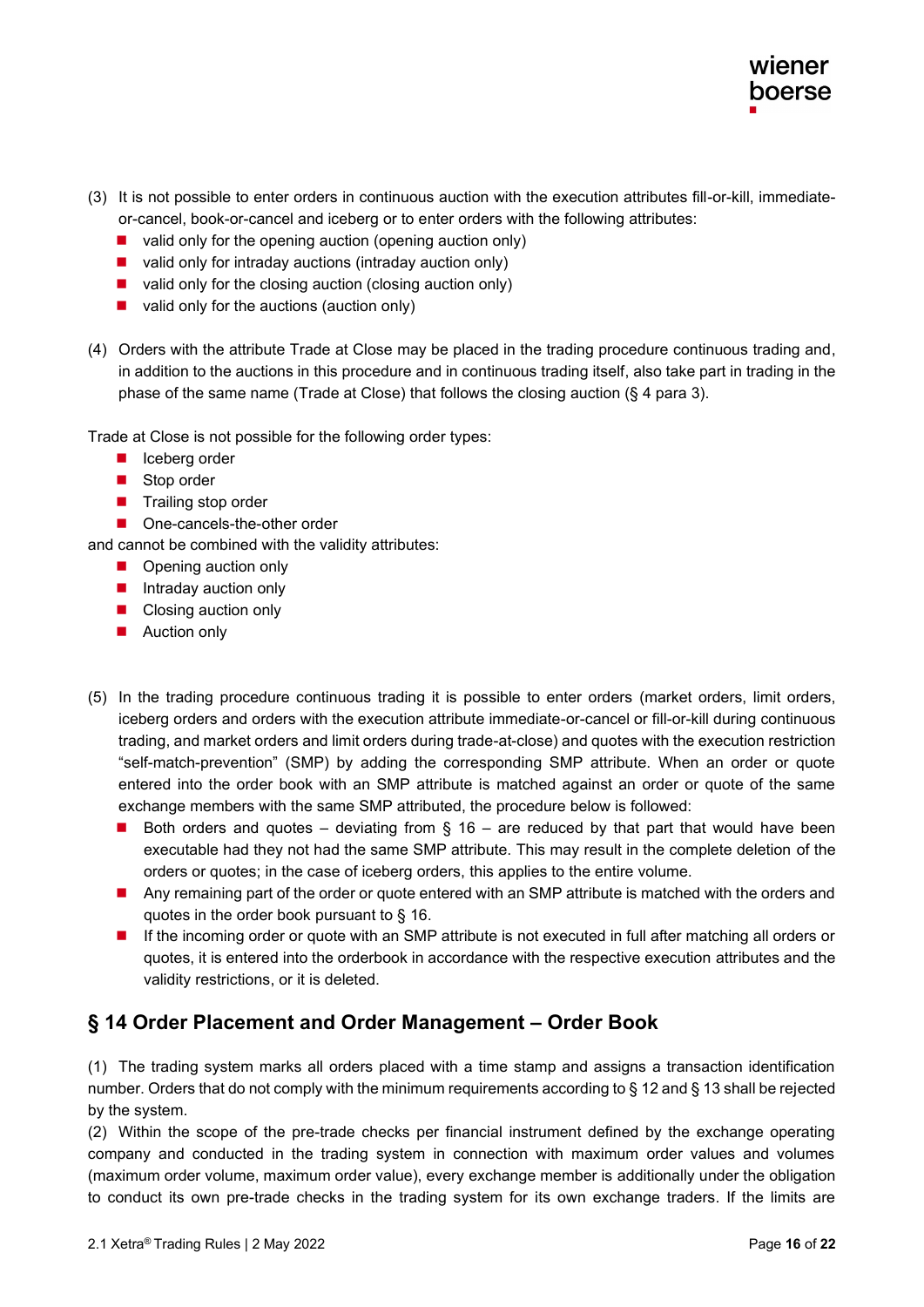- (3) It is not possible to enter orders in continuous auction with the execution attributes fill-or-kill, immediateor-cancel, book-or-cancel and iceberg or to enter orders with the following attributes:
	- valid only for the opening auction (opening auction only)
	- valid only for intraday auctions (intraday auction only)
	- valid only for the closing auction (closing auction only)
	- valid only for the auctions (auction only)
- (4) Orders with the attribute Trade at Close may be placed in the trading procedure continuous trading and, in addition to the auctions in this procedure and in continuous trading itself, also take part in trading in the phase of the same name (Trade at Close) that follows the closing auction (§ 4 para 3).

Trade at Close is not possible for the following order types:

- Iceberg order
- Stop order
- Trailing stop order
- One-cancels-the-other order

and cannot be combined with the validity attributes:

- Opening auction only
- Intraday auction only
- Closing auction only
- Auction only
- (5) In the trading procedure continuous trading it is possible to enter orders (market orders, limit orders, iceberg orders and orders with the execution attribute immediate-or-cancel or fill-or-kill during continuous trading, and market orders and limit orders during trade-at-close) and quotes with the execution restriction "self-match-prevention" (SMP) by adding the corresponding SMP attribute. When an order or quote entered into the order book with an SMP attribute is matched against an order or quote of the same exchange members with the same SMP attributed, the procedure below is followed:
	- Both orders and quotes deviating from § 16 are reduced by that part that would have been executable had they not had the same SMP attribute. This may result in the complete deletion of the orders or quotes; in the case of iceberg orders, this applies to the entire volume.
	- Any remaining part of the order or quote entered with an SMP attribute is matched with the orders and quotes in the order book pursuant to § 16.
	- If the incoming order or quote with an SMP attribute is not executed in full after matching all orders or quotes, it is entered into the orderbook in accordance with the respective execution attributes and the validity restrictions, or it is deleted.

#### **§ 14 Order Placement and Order Management – Order Book**

(1) The trading system marks all orders placed with a time stamp and assigns a transaction identification number. Orders that do not comply with the minimum requirements according to § 12 and § 13 shall be rejected by the system.

(2) Within the scope of the pre-trade checks per financial instrument defined by the exchange operating company and conducted in the trading system in connection with maximum order values and volumes (maximum order volume, maximum order value), every exchange member is additionally under the obligation to conduct its own pre-trade checks in the trading system for its own exchange traders. If the limits are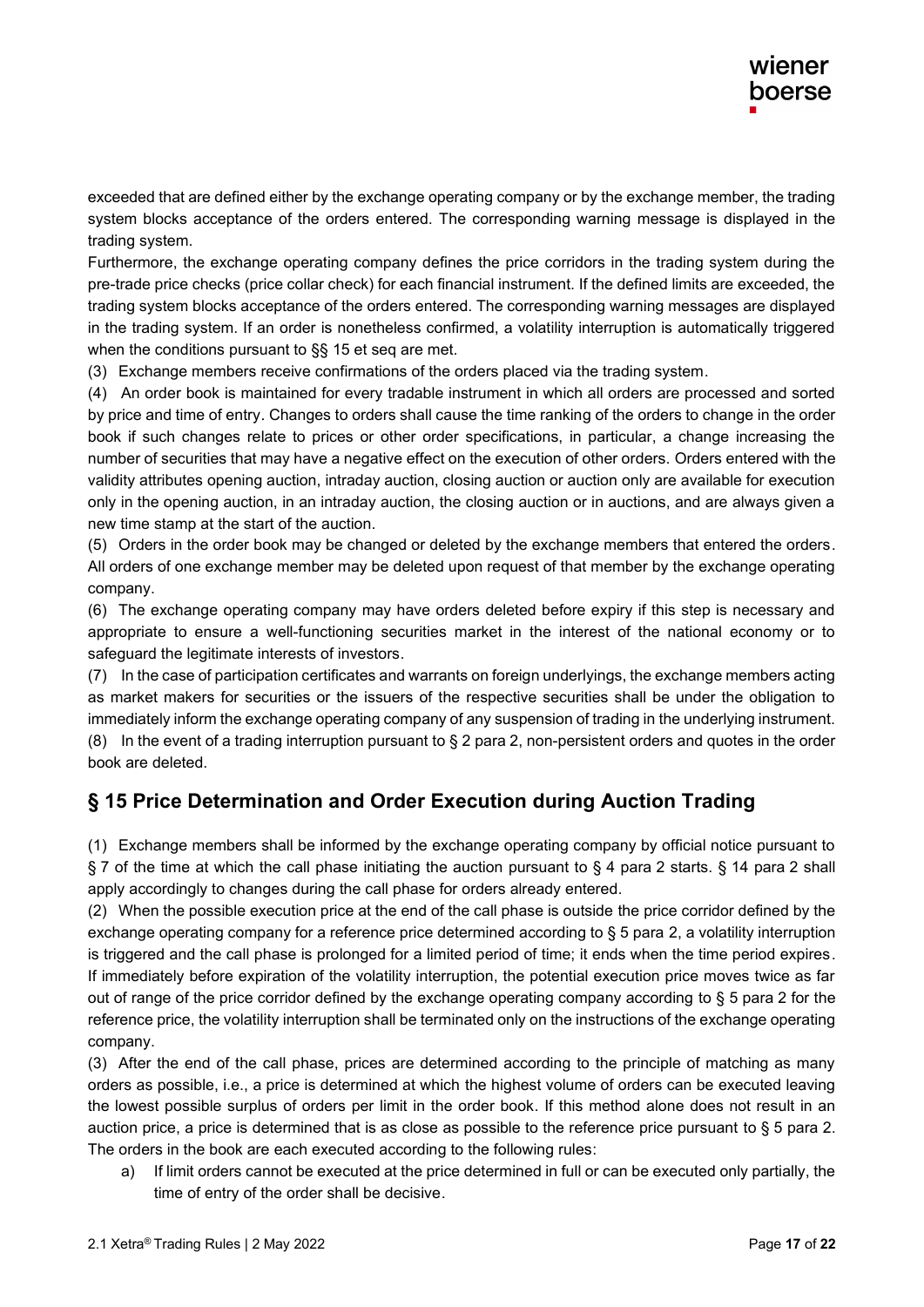exceeded that are defined either by the exchange operating company or by the exchange member, the trading system blocks acceptance of the orders entered. The corresponding warning message is displayed in the trading system.

Furthermore, the exchange operating company defines the price corridors in the trading system during the pre-trade price checks (price collar check) for each financial instrument. If the defined limits are exceeded, the trading system blocks acceptance of the orders entered. The corresponding warning messages are displayed in the trading system. If an order is nonetheless confirmed, a volatility interruption is automatically triggered when the conditions pursuant to §§ 15 et seq are met.

(3) Exchange members receive confirmations of the orders placed via the trading system .

(4) An order book is maintained for every tradable instrument in which all orders are processed and sorted by price and time of entry. Changes to orders shall cause the time ranking of the orders to change in the order book if such changes relate to prices or other order specifications, in particular, a change increasing the number of securities that may have a negative effect on the execution of other orders. Orders entered with the validity attributes opening auction, intraday auction, closing auction or auction only are available for execution only in the opening auction, in an intraday auction, the closing auction or in auctions, and are always given a new time stamp at the start of the auction.

(5) Orders in the order book may be changed or deleted by the exchange members that entered the orders. All orders of one exchange member may be deleted upon request of that member by the exchange operating company.

(6) The exchange operating company may have orders deleted before expiry if this step is necessary and appropriate to ensure a well-functioning securities market in the interest of the national economy or to safeguard the legitimate interests of investors.

(7) In the case of participation certificates and warrants on foreign underlyings, the exchange members acting as market makers for securities or the issuers of the respective securities shall be under the obligation to immediately inform the exchange operating company of any suspension of trading in the underlying instrument. (8) In the event of a trading interruption pursuant to  $\S 2$  para 2, non-persistent orders and quotes in the order book are deleted.

### **§ 15 Price Determination and Order Execution during Auction Trading**

(1) Exchange members shall be informed by the exchange operating company by official notice pursuant to § 7 of the time at which the call phase initiating the auction pursuant to § 4 para 2 starts. § 14 para 2 shall apply accordingly to changes during the call phase for orders already entered.

(2) When the possible execution price at the end of the call phase is outside the price corridor defined by the exchange operating company for a reference price determined according to § 5 para 2, a volatility interruption is triggered and the call phase is prolonged for a limited period of time; it ends when the time period expires. If immediately before expiration of the volatility interruption, the potential execution price moves twice as far out of range of the price corridor defined by the exchange operating company according to § 5 para 2 for the reference price, the volatility interruption shall be terminated only on the instructions of the exchange operating company.

(3) After the end of the call phase, prices are determined according to the principle of matching as many orders as possible, i.e., a price is determined at which the highest volume of orders can be executed leaving the lowest possible surplus of orders per limit in the order book. If this method alone does not result in an auction price, a price is determined that is as close as possible to the reference price pursuant to § 5 para 2. The orders in the book are each executed according to the following rules:

a) If limit orders cannot be executed at the price determined in full or can be executed only partially, the time of entry of the order shall be decisive .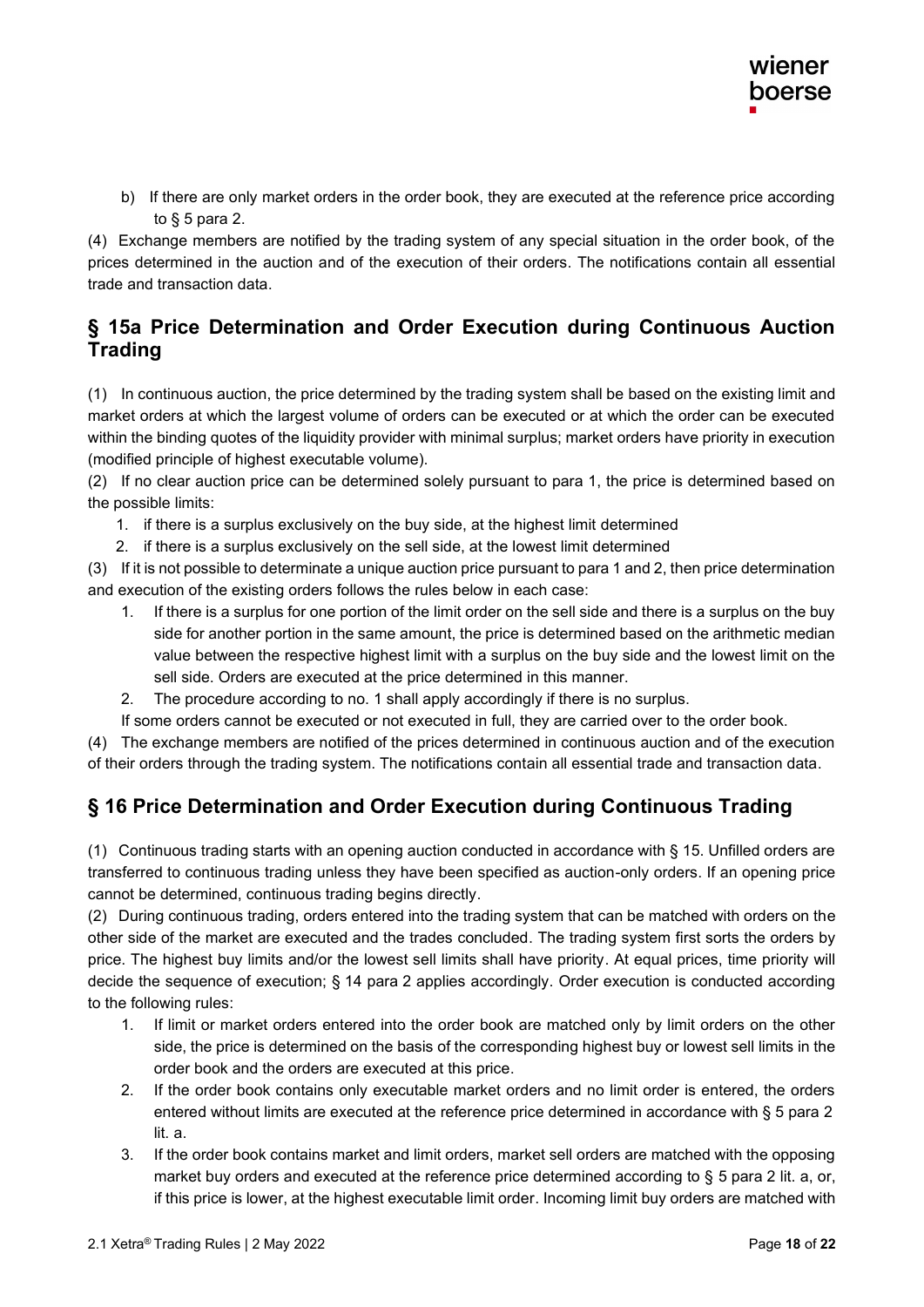b) If there are only market orders in the order book, they are executed at the reference price according to  $§$  5 para 2.

(4) Exchange members are notified by the trading system of any special situation in the order book, of the prices determined in the auction and of the execution of their orders. The notifications contain all essential trade and transaction data .

### **§ 15a Price Determination and Order Execution during Continuous Auction Trading**

(1) In continuous auction, the price determined by the trading system shall be based on the existing limit and market orders at which the largest volume of orders can be executed or at which the order can be executed within the binding quotes of the liquidity provider with minimal surplus; market orders have priority in execution (modified principle of highest executable volume).

(2) If no clear auction price can be determined solely pursuant to para 1, the price is determined based on the possible limits:

- 1. if there is a surplus exclusively on the buy side, at the highest limit determined
- 2. if there is a surplus exclusively on the sell side, at the lowest limit determined

(3) If it is not possible to determinate a unique auction price pursuant to para 1 and 2, then price determination and execution of the existing orders follows the rules below in each case:

- 1. If there is a surplus for one portion of the limit order on the sell side and there is a surplus on the buy side for another portion in the same amount, the price is determined based on the arithmetic median value between the respective highest limit with a surplus on the buy side and the lowest limit on the sell side. Orders are executed at the price determined in this manner.
- 2. The procedure according to no. 1 shall apply accordingly if there is no surplus.

If some orders cannot be executed or not executed in full, they are carried over to the order book.

(4) The exchange members are notified of the prices determined in continuous auction and of the execution of their orders through the trading system. The notifications contain all essential trade and transaction data .

### **§ 16 Price Determination and Order Execution during Continuous Trading**

(1) Continuous trading starts with an opening auction conducted in accordance with § 15. Unfilled orders are transferred to continuous trading unless they have been specified as auction-only orders. If an opening price cannot be determined, continuous trading begins directly.

(2) During continuous trading, orders entered into the trading system that can be matched with orders on the other side of the market are executed and the trades concluded. The trading system first sorts the orders by price. The highest buy limits and/or the lowest sell limits shall have priority. At equal prices, time priority will decide the sequence of execution; § 14 para 2 applies accordingly. Order execution is conducted according to the following rules :

- 1. If limit or market orders entered into the order book are matched only by limit orders on the other side, the price is determined on the basis of the corresponding highest buy or lowest sell limits in the order book and the orders are executed at this price .
- 2. If the order book contains only executable market orders and no limit order is entered, the orders entered without limits are executed at the reference price determined in accordance with § 5 para 2 lit. a .
- 3. If the order book contains market and limit orders, market sell orders are matched with the opposing market buy orders and executed at the reference price determined according to § 5 para 2 lit. a, or, if this price is lower, at the highest executable limit order. Incoming limit buy orders are matched with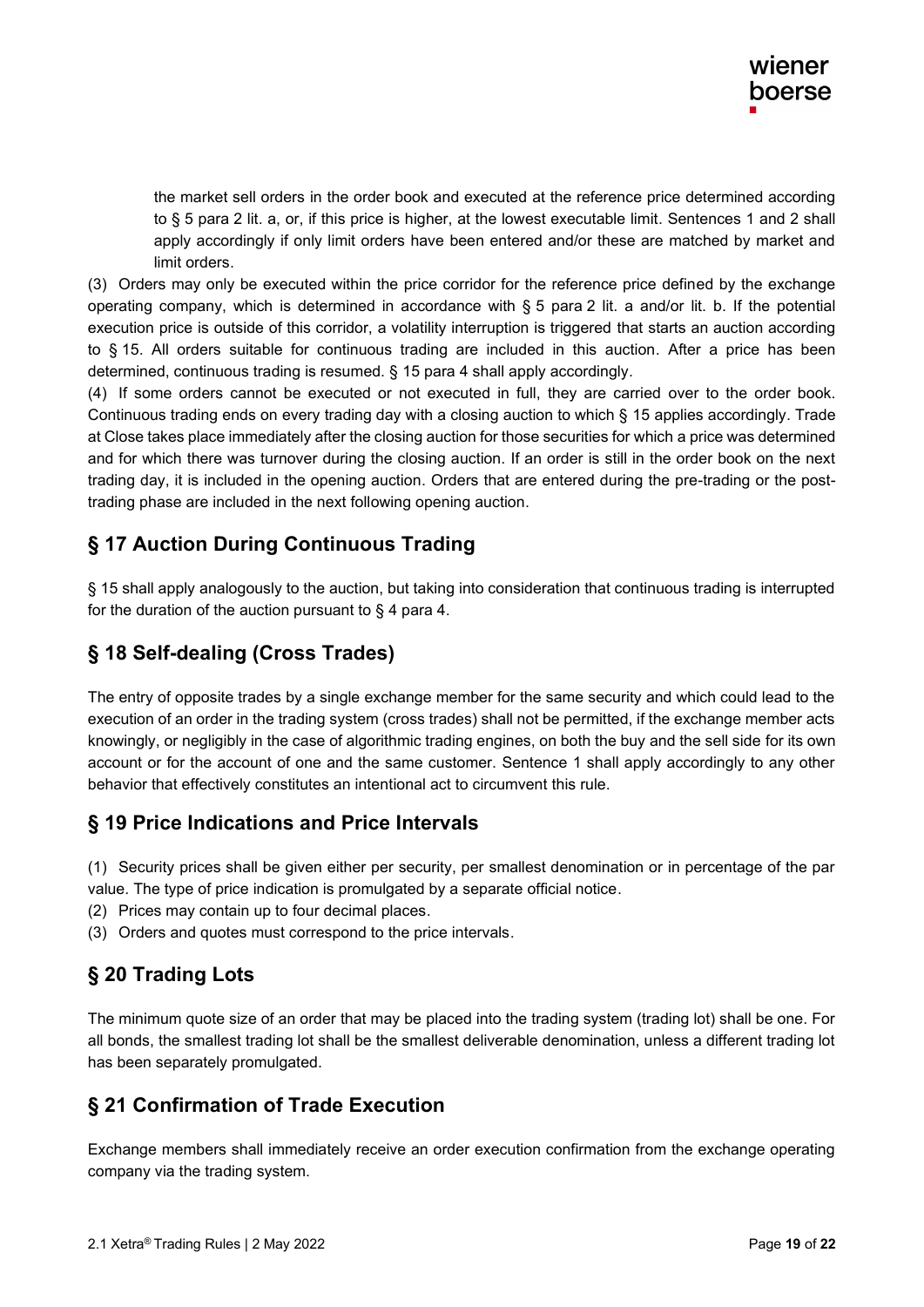the market sell orders in the order book and executed at the reference price determined according to § 5 para 2 lit. a, or, if this price is higher, at the lowest executable limit. Sentences 1 and 2 shall apply accordingly if only limit orders have been entered and/or these are matched by market and limit orders .

(3) Orders may only be executed within the price corridor for the reference price defined by the exchange operating company, which is determined in accordance with § 5 para 2 lit. a and/or lit. b. If the potential execution price is outside of this corridor, a volatility interruption is triggered that starts an auction according to § 15. All orders suitable for continuous trading are included in this auction. After a price has been determined, continuous trading is resumed. § 15 para 4 shall apply accordingly .

(4) If some orders cannot be executed or not executed in full, they are carried over to the order book. Continuous trading ends on every trading day with a closing auction to which § 15 applies accordingly. Trade at Close takes place immediately after the closing auction for those securities for which a price was determined and for which there was turnover during the closing auction. If an order is still in the order book on the next trading day, it is included in the opening auction. Orders that are entered during the pre-trading or the posttrading phase are included in the next following opening auction .

### **§ 17 Auction During Continuous Trading**

§ 15 shall apply analogously to the auction, but taking into consideration that continuous trading is interrupted for the duration of the auction pursuant to  $\S$  4 para 4.

### **§ 18 Self-dealing (Cross Trades)**

The entry of opposite trades by a single exchange member for the same security and which could lead to the execution of an order in the trading system (cross trades) shall not be permitted, if the exchange member acts knowingly, or negligibly in the case of algorithmic trading engines, on both the buy and the sell side for its own account or for the account of one and the same customer. Sentence 1 shall apply accordingly to any other behavior that effectively constitutes an intentional act to circumvent this rule.

#### **§ 19 Price Indications and Price Intervals**

(1) Security prices shall be given either per security, per smallest denomination or in percentage of the par value. The type of price indication is promulgated by a separate official notice.

- (2) Prices may contain up to four decimal places .
- (3) Orders and quotes must correspond to the price intervals .

### **§ 20 Trading Lots**

The minimum quote size of an order that may be placed into the trading system (trading lot) shall be one. For all bonds, the smallest trading lot shall be the smallest deliverable denomination, unless a different trading lot has been separately promulgated.

### **§ 21 Confirmation of Trade Execution**

Exchange members shall immediately receive an order execution confirmation from the exchange operating company via the trading system.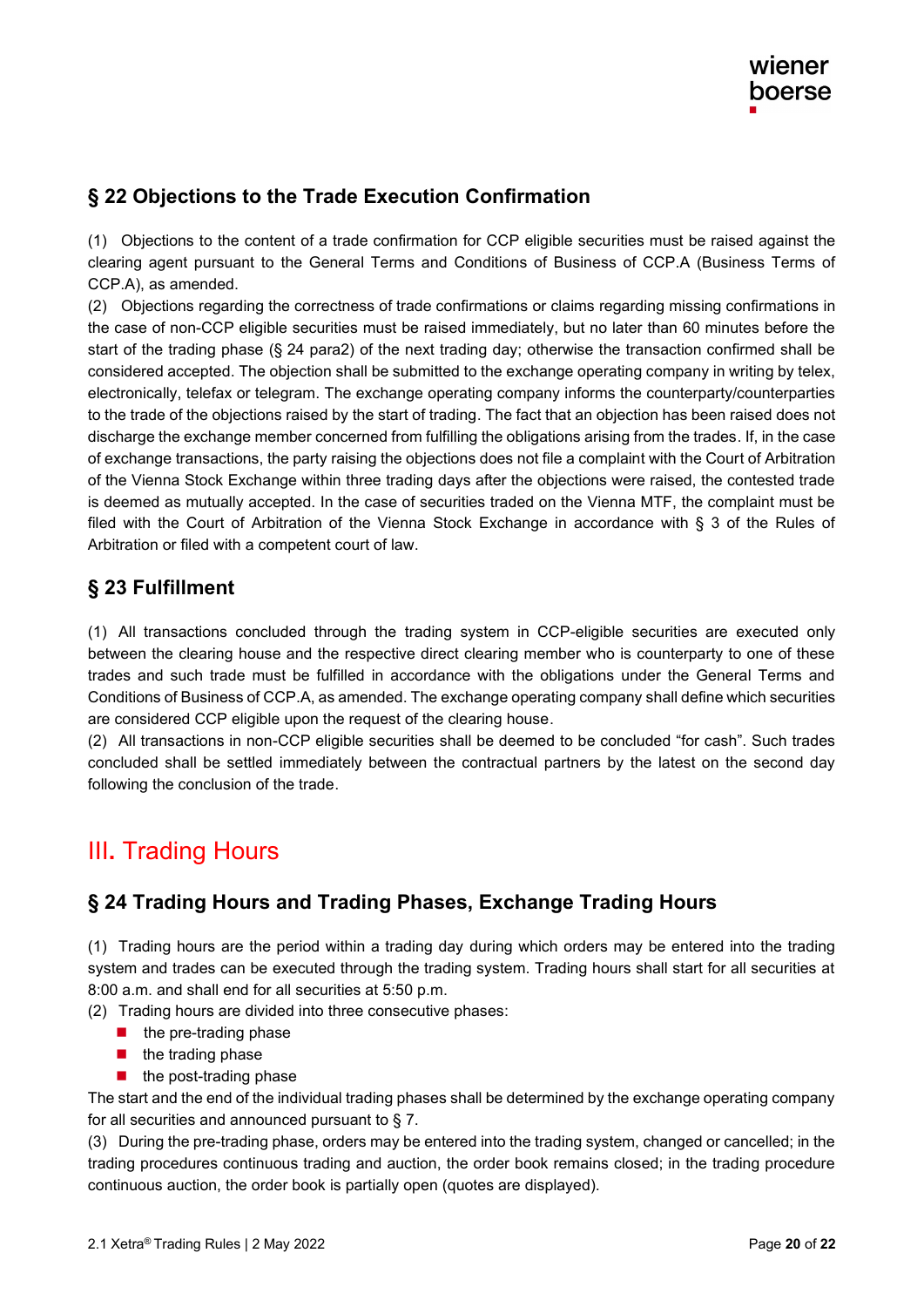### **§ 22 Objections to the Trade Execution Confirmation**

(1) Objections to the content of a trade confirmation for CCP eligible securities must be raised against the clearing agent pursuant to the General Terms and Conditions of Business of CCP.A (Business Terms of CCP.A), as amended.

(2) Objections regarding the correctness of trade confirmations or claims regarding missing confirmations in the case of non-CCP eligible securities must be raised immediately, but no later than 60 minutes before the start of the trading phase (§ 24 para2) of the next trading day; otherwise the transaction confirmed shall be considered accepted . The objection shall be submitted to the exchange operating company in writing by telex, electronically, telefax or telegram. The exchange operating company informs the counterparty/counterparties to the trade of the objections raised by the start of trading. The fact that an objection has been raised does not discharge the exchange member concerned from fulfilling the obligations arising from the trades. If, in the case of exchange transactions, the party raising the objections does not file a complaint with the Court of Arbitration of the Vienna Stock Exchange within three trading days after the objections were raised, the contested trade is deemed as mutually accepted. In the case of securities traded on the Vienna MTF, the complaint must be filed with the Court of Arbitration of the Vienna Stock Exchange in accordance with § 3 of the Rules of Arbitration or filed with a competent court of law.

### **§ 23 Fulfillment**

(1) All transactions concluded through the trading system in CCP-eligible securities are executed only between the clearing house and the respective direct clearing member who is counterparty to one of these trades and such trade must be fulfilled in accordance with the obligations under the General Terms and Conditions of Business of CCP.A, as amended. The exchange operating company shall define which securities are considered CCP eligible upon the request of the clearing house .

(2) All transactions in non-CCP eligible securities shall be deemed to be concluded "for cash". Such trades concluded shall be settled immediately between the contractual partners by the latest on the second day following the conclusion of the trade .

# III**.** Trading Hours

### **§ 24 Trading Hours and Trading Phases, Exchange Trading Hours**

(1) Trading hours are the period within a trading day during which orders may be entered into the trading system and trades can be executed through the trading system. Trading hours shall start for all securities at 8:00 a.m. and shall end for all securities at 5:50 p.m.

- (2) Trading hours are divided into three consecutive phases:
	- $\blacksquare$  the pre-trading phase
	- the trading phase
	- the post-trading phase

The start and the end of the individual trading phases shall be determined by the exchange operating company for all securities and announced pursuant to § 7.

(3) During the pre-trading phase, orders may be entered into the trading system, changed or cancelled; in the trading procedures continuous trading and auction, the order book remains closed; in the trading procedure continuous auction, the order book is partially open (quotes are displayed).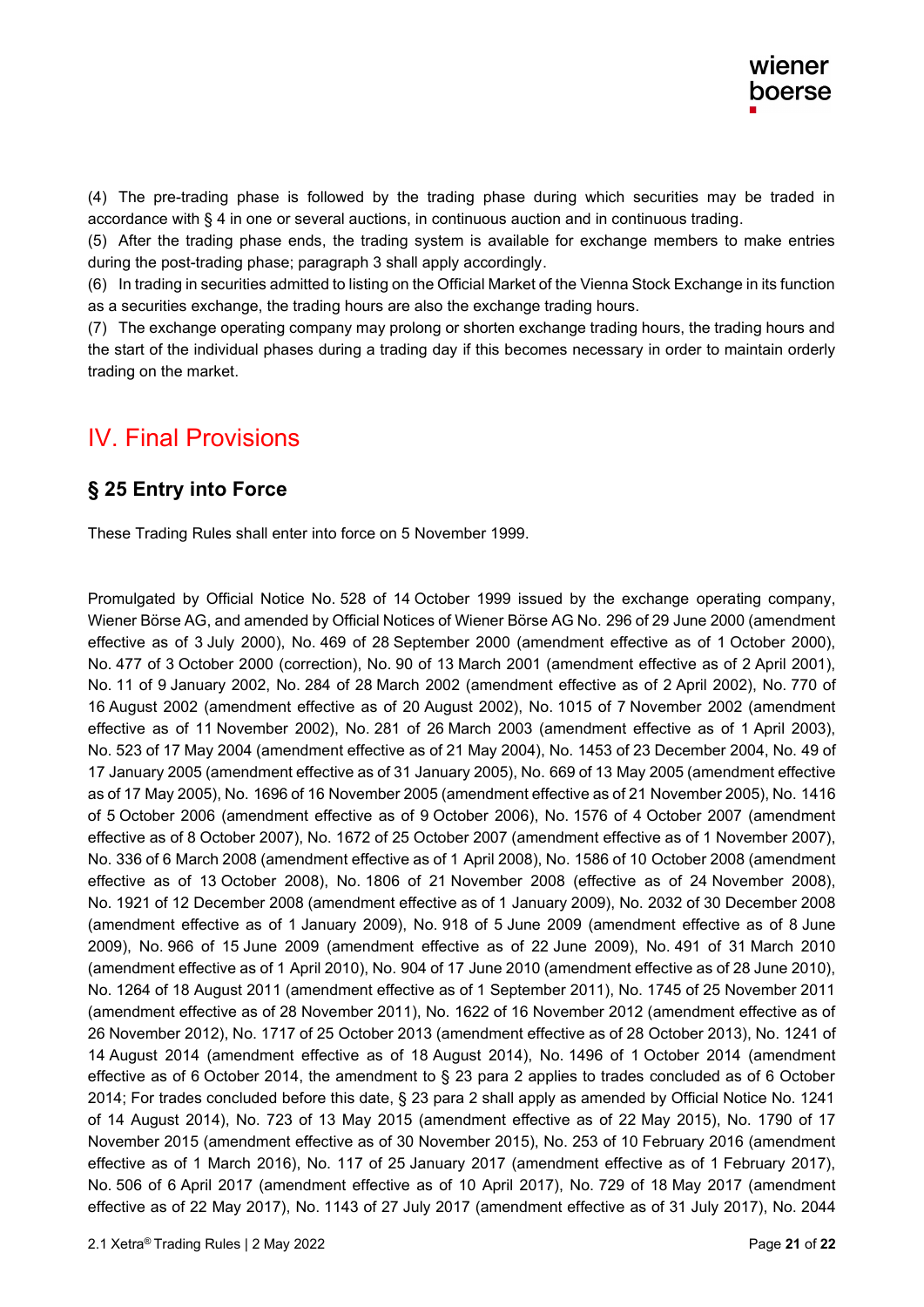(4) The pre-trading phase is followed by the trading phase during which securities may be traded in accordance with § 4 in one or several auctions, in continuous auction and in continuous trading.

(5) After the trading phase ends, the trading system is available for exchange members to make entries during the post-trading phase; paragraph 3 shall apply accordingly .

(6) In trading in securities admitted to listing on the Official Market of the Vienna Stock Exchange in its function as a securities exchange, the trading hours are also the exchange trading hours.

(7) The exchange operating company may prolong or shorten exchange trading hours, the trading hours and the start of the individual phases during a trading day if this becomes necessary in order to maintain orderly trading on the market.

# IV. Final Provisions

#### **§ 25 Entry into Force**

These Trading Rules shall enter into force on 5 November 1999.

Promulgated by Official Notice No. 528 of 14 October 1999 issued by the exchange operating company, Wiener Börse AG, and amended by Official Notices of Wiener Börse AG No. 296 of 29 June 2000 (amendment effective as of 3 July 2000), No. 469 of 28 September 2000 (amendment effective as of 1 October 2000), No. 477 of 3 October 2000 (correction), No. 90 of 13 March 2001 (amendment effective as of 2 April 2001), No. 11 of 9 January 2002, No. 284 of 28 March 2002 (amendment effective as of 2 April 2002), No. 770 of 16 August 2002 (amendment effective as of 20 August 2002), No. 1015 of 7 November 2002 (amendment effective as of 11 November 2002), No. 281 of 26 March 2003 (amendment effective as of 1 April 2003), No. 523 of 17 May 2004 (amendment effective as of 21 May 2004), No. 1453 of 23 December 2004, No. 49 of 17 January 2005 (amendment effective as of 31 January 2005), No. 669 of 13 May 2005 (amendment effective as of 17 May 2005), No. 1696 of 16 November 2005 (amendment effective as of 21 November 2005), No. 1416 of 5 October 2006 (amendment effective as of 9 October 2006), No. 1576 of 4 October 2007 (amendment effective as of 8 October 2007), No. 1672 of 25 October 2007 (amendment effective as of 1 November 2007), No. 336 of 6 March 2008 (amendment effective as of 1 April 2008), No. 1586 of 10 October 2008 (amendment effective as of 13 October 2008), No. 1806 of 21 November 2008 (effective as of 24 November 2008), No. 1921 of 12 December 2008 (amendment effective as of 1 January 2009), No. 2032 of 30 December 2008 (amendment effective as of 1 January 2009), No. 918 of 5 June 2009 (amendment effective as of 8 June 2009), No. 966 of 15 June 2009 (amendment effective as of 22 June 2009), No. 491 of 31 March 2010 (amendment effective as of 1 April 2010), No. 904 of 17 June 2010 (amendment effective as of 28 June 2010), No. 1264 of 18 August 2011 (amendment effective as of 1 September 2011), No. 1745 of 25 November 2011 (amendment effective as of 28 November 2011), No. 1622 of 16 November 2012 (amendment effective as of 26 November 2012), No. 1717 of 25 October 2013 (amendment effective as of 28 October 2013), No. 1241 of 14 August 2014 (amendment effective as of 18 August 2014), No. 1496 of 1 October 2014 (amendment effective as of 6 October 2014, the amendment to § 23 para 2 applies to trades concluded as of 6 October 2014; For trades concluded before this date, § 23 para 2 shall apply as amended by Official Notice No. 1241 of 14 August 2014), No. 723 of 13 May 2015 (amendment effective as of 22 May 2015), No. 1790 of 17 November 2015 (amendment effective as of 30 November 2015), No. 253 of 10 February 2016 (amendment effective as of 1 March 2016), No. 117 of 25 January 2017 (amendment effective as of 1 February 2017), No. 506 of 6 April 2017 (amendment effective as of 10 April 2017), No. 729 of 18 May 2017 (amendment effective as of 22 May 2017), No. 1143 of 27 July 2017 (amendment effective as of 31 July 2017), No. 2044